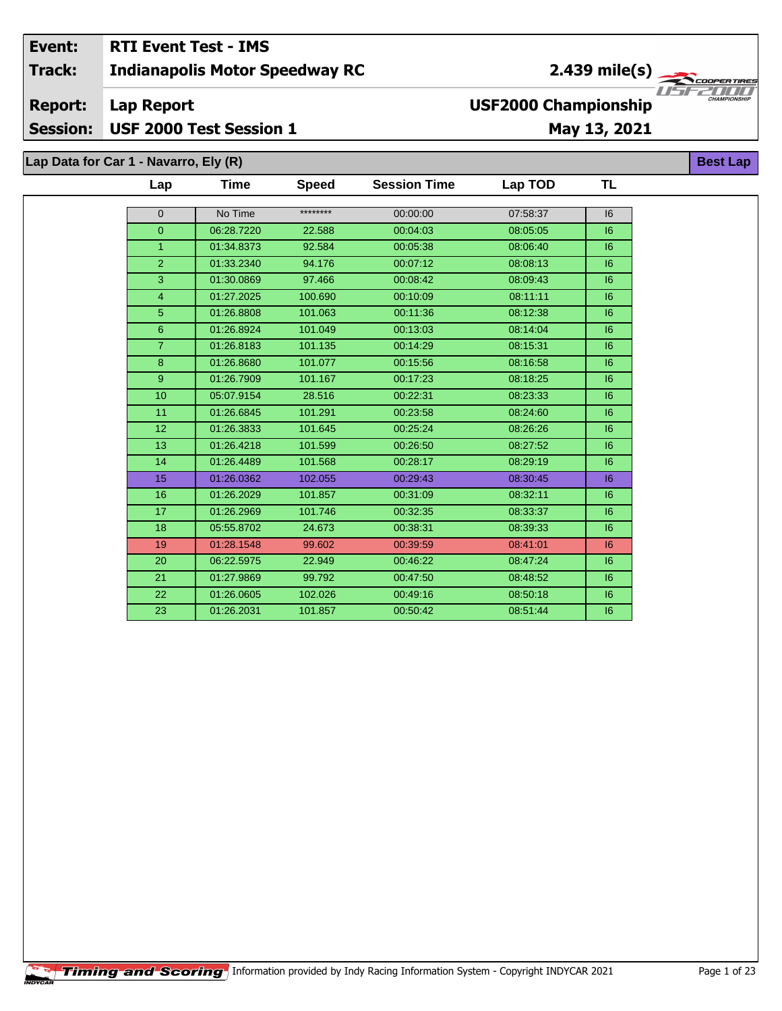#### Event: **RTI Event Test - IMS**  $2.439 \text{ mile(s)}$ **Indianapolis Motor Speedway RC Track: Report: Lap Report USF2000 Championship** Session: USF 2000 Test Session 1 May 13, 2021

Lap Data for Car 1 - Navarro, Ely (R)

| Lap                     | Time       | <b>Speed</b> | <b>Session Time</b> | Lap TOD  | TL |
|-------------------------|------------|--------------|---------------------|----------|----|
| $\mathbf{0}$            | No Time    | ********     | 00:00:00            | 07:58:37 | 16 |
| $\overline{0}$          | 06:28.7220 | 22.588       | 00:04:03            | 08:05:05 | 16 |
| $\mathbf{1}$            | 01:34.8373 | 92.584       | 00:05:38            | 08:06:40 | 6  |
| $\overline{2}$          | 01:33.2340 | 94.176       | 00:07:12            | 08:08:13 | 16 |
| $\overline{\mathbf{3}}$ | 01:30.0869 | 97.466       | 00:08:42            | 08:09:43 | 16 |
| $\overline{\mathbf{4}}$ | 01:27.2025 | 100.690      | 00:10:09            | 08:11:11 | 6  |
| 5                       | 01:26.8808 | 101.063      | 00:11:36            | 08:12:38 | 6  |
| $6\phantom{a}$          | 01:26.8924 | 101.049      | 00:13:03            | 08:14:04 | 6  |
| $\overline{7}$          | 01:26.8183 | 101.135      | 00:14:29            | 08:15:31 | 6  |
| 8                       | 01:26.8680 | 101.077      | 00:15:56            | 08:16:58 | 16 |
| $\mathsf g$             | 01:26.7909 | 101.167      | 00:17:23            | 08:18:25 | 6  |
| 10                      | 05:07.9154 | 28.516       | 00:22:31            | 08:23:33 | 6  |
| 11                      | 01:26.6845 | 101.291      | 00:23:58            | 08:24:60 | 6  |
| 12 <sup>2</sup>         | 01:26.3833 | 101.645      | 00:25:24            | 08:26:26 | 6  |
| 13                      | 01:26.4218 | 101.599      | 00:26:50            | 08:27:52 | 6  |
| 14                      | 01:26.4489 | 101.568      | 00:28:17            | 08:29:19 | 6  |
| 15                      | 01:26.0362 | 102.055      | 00:29:43            | 08:30:45 | 6  |
| 16                      | 01:26.2029 | 101.857      | 00:31:09            | 08:32:11 | 16 |
| 17                      | 01:26.2969 | 101.746      | 00:32:35            | 08:33:37 | 6  |
| 18                      | 05:55.8702 | 24.673       | 00:38:31            | 08:39:33 | 6  |
| 19                      | 01:28.1548 | 99.602       | 00:39:59            | 08:41:01 | 6  |
| 20                      | 06:22.5975 | 22.949       | 00:46:22            | 08:47:24 | 16 |
| 21                      | 01:27.9869 | 99.792       | 00:47:50            | 08:48:52 | 16 |
| 22                      | 01:26.0605 | 102.026      | 00:49:16            | 08:50:18 | 6  |
| 23                      | 01:26.2031 | 101.857      | 00:50:42            | 08:51:44 | 6  |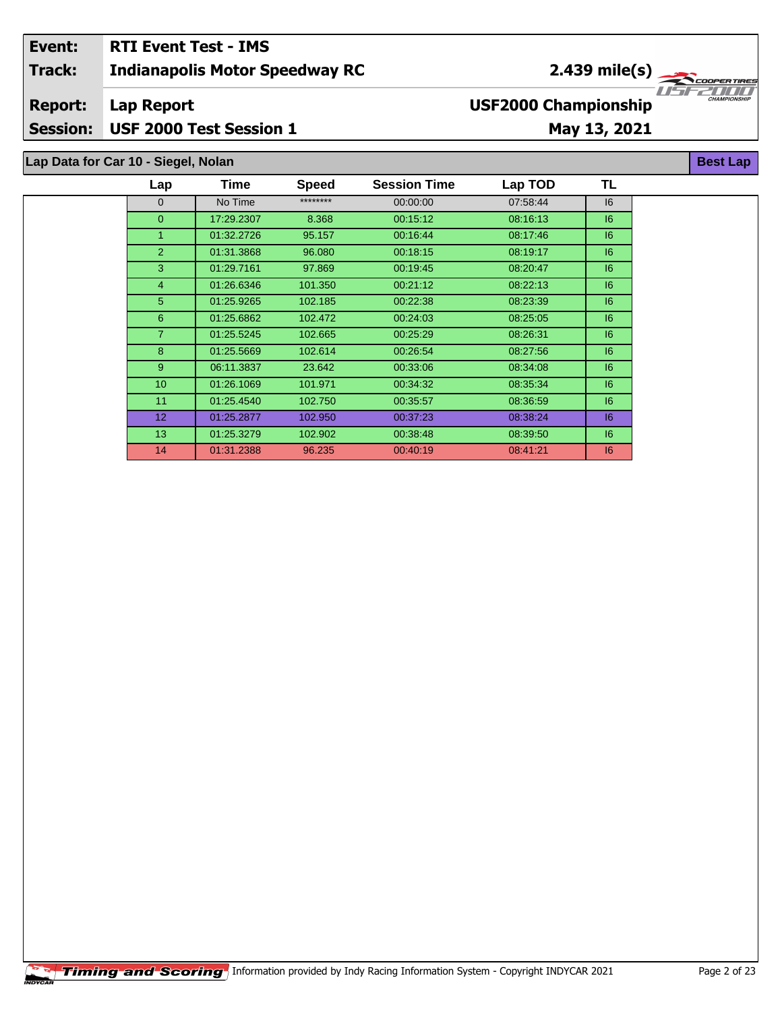## **Indianapolis Motor Speedway RC Lap Report May 13, 2021 Event: RTI Event Test - IMS Track: Report: Session: USF 2000 Test Session 1 USF2000 Championship** 2.439 mile(s)

# **Lap Data for Car 10 - Siegel, Nolan**

| Lap             | Time       | <b>Speed</b> | <b>Session Time</b> | Lap TOD  | TL |
|-----------------|------------|--------------|---------------------|----------|----|
| $\mathbf{0}$    | No Time    | ********     | 00:00:00            | 07:58:44 | 16 |
| $\overline{0}$  | 17:29.2307 | 8.368        | 00:15:12            | 08:16:13 | 16 |
| 1               | 01:32.2726 | 95.157       | 00:16:44            | 08:17:46 | 6  |
| 2               | 01:31.3868 | 96.080       | 00:18:15            | 08:19:17 | 6  |
| 3               | 01:29.7161 | 97.869       | 00:19:45            | 08:20:47 | 6  |
| $\overline{4}$  | 01:26.6346 | 101.350      | 00:21:12            | 08:22:13 | 6  |
| 5               | 01:25.9265 | 102.185      | 00:22:38            | 08:23:39 | 6  |
| 6               | 01:25.6862 | 102.472      | 00:24:03            | 08:25:05 | 6  |
| $\overline{7}$  | 01:25.5245 | 102.665      | 00:25:29            | 08:26:31 | 6  |
| 8               | 01:25.5669 | 102.614      | 00:26:54            | 08:27:56 | 6  |
| 9               | 06:11.3837 | 23.642       | 00:33:06            | 08:34:08 | 6  |
| 10              | 01:26.1069 | 101.971      | 00:34:32            | 08:35:34 | 6  |
| 11              | 01:25.4540 | 102.750      | 00:35:57            | 08:36:59 | 6  |
| 12 <sup>2</sup> | 01:25.2877 | 102.950      | 00:37:23            | 08:38:24 | 16 |
| 13              | 01:25.3279 | 102.902      | 00:38:48            | 08:39:50 | 6  |
| 14              | 01:31.2388 | 96.235       | 00:40:19            | 08:41:21 | 16 |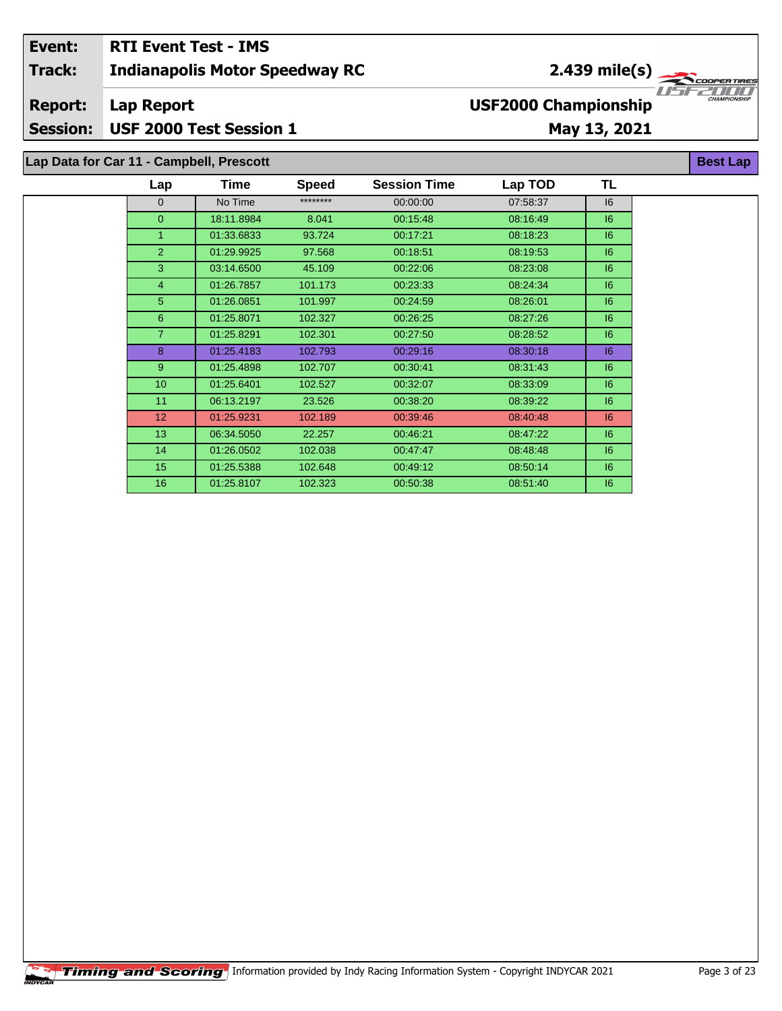| Event:         | <b>RTI Event Test - IMS</b>              |                                                                  |
|----------------|------------------------------------------|------------------------------------------------------------------|
| <b>Track:</b>  | <b>Indianapolis Motor Speedway RC</b>    | $2.439 \text{ mile(s)}$                                          |
| <b>Report:</b> | Lap Report                               | 1151220000<br><b>CHAMPIONSHIP</b><br><b>USF2000 Championship</b> |
|                | Session: USF 2000 Test Session 1         | May 13, 2021                                                     |
|                |                                          |                                                                  |
|                | Lap Data for Car 11 - Campbell, Prescott | <b>Best Lap</b>                                                  |

| Lap            | Time       | <b>Speed</b> | <b>Session Time</b> | Lap TOD  | TL |
|----------------|------------|--------------|---------------------|----------|----|
| $\mathbf{0}$   | No Time    | ********     | 00:00:00            | 07:58:37 | 16 |
| $\overline{0}$ | 18:11.8984 | 8.041        | 00:15:48            | 08.16.49 | 6  |
| $\mathbf{1}$   | 01:33.6833 | 93.724       | 00:17:21            | 08:18:23 | 6  |
| 2              | 01:29.9925 | 97.568       | 00:18:51            | 08:19:53 | 6  |
| 3              | 03:14.6500 | 45.109       | 00:22:06            | 08:23:08 | 16 |
| $\overline{4}$ | 01:26.7857 | 101.173      | 00:23:33            | 08:24:34 | 6  |
| 5              | 01:26.0851 | 101.997      | 00:24:59            | 08:26:01 | 16 |
| 6              | 01:25.8071 | 102.327      | 00:26:25            | 08:27:26 | 6  |
| $\overline{7}$ | 01:25.8291 | 102.301      | 00:27:50            | 08:28:52 | 16 |
| 8              | 01:25.4183 | 102.793      | 00:29:16            | 08:30:18 | 6  |
| 9              | 01:25.4898 | 102.707      | 00:30:41            | 08:31:43 | 6  |
| 10             | 01:25.6401 | 102.527      | 00:32:07            | 08:33:09 | 6  |
| 11             | 06:13.2197 | 23.526       | 00:38:20            | 08:39:22 | 6  |
| 12             | 01:25.9231 | 102.189      | 00:39:46            | 08:40:48 | 16 |
| 13             | 06:34.5050 | 22.257       | 00:46:21            | 08:47:22 | 6  |
| 14             | 01:26.0502 | 102.038      | 00:47:47            | 08:48:48 | 6  |
| 15             | 01:25.5388 | 102.648      | 00:49:12            | 08:50:14 | 6  |
| 16             | 01:25.8107 | 102.323      | 00:50:38            | 08:51:40 | 16 |
|                |            |              |                     |          |    |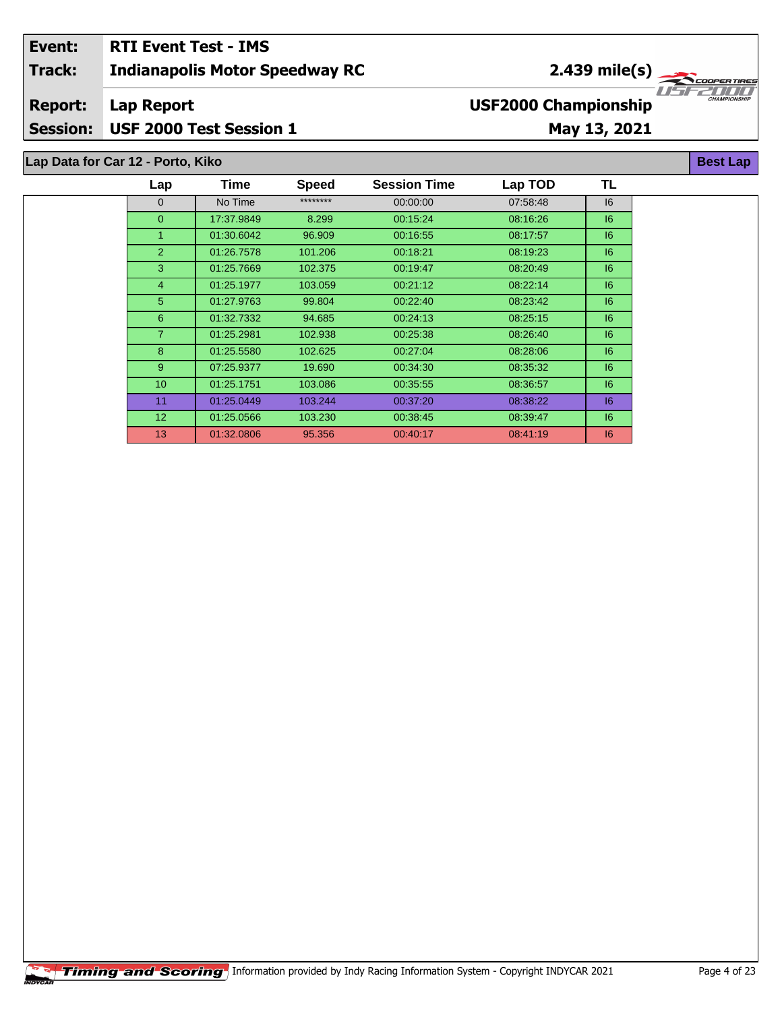### **Indianapolis Motor Speedway RC Lap Report May 13, 2021 Event: RTI Event Test - IMS Track: Report: Session: USF 2000 Test Session 1 USF2000 Championship** 2.439 mile(s)

# **Lap Data for Car 12 - Porto, Kiko**

| Lap             | Time       | <b>Speed</b> | <b>Session Time</b> | Lap TOD  | TL |
|-----------------|------------|--------------|---------------------|----------|----|
| $\mathbf{0}$    | No Time    | ********     | 00:00:00            | 07:58:48 | 16 |
| $\overline{0}$  | 17:37.9849 | 8.299        | 00:15:24            | 08:16:26 | 6  |
| 1               | 01:30.6042 | 96.909       | 00.16.55            | 08:17:57 | 6  |
| 2               | 01:26.7578 | 101.206      | 00:18:21            | 08:19:23 | 6  |
| 3               | 01:25.7669 | 102.375      | 00:19:47            | 08:20:49 | 6  |
| $\overline{4}$  | 01:25.1977 | 103.059      | 00:21:12            | 08:22:14 | 6  |
| 5               | 01:27.9763 | 99.804       | 00:22:40            | 08:23:42 | 6  |
| 6               | 01:32.7332 | 94.685       | 00:24:13            | 08:25:15 | 6  |
| $\overline{7}$  | 01:25.2981 | 102.938      | 00:25:38            | 08:26:40 | 6  |
| 8               | 01:25.5580 | 102.625      | 00:27:04            | 08:28:06 | 16 |
| 9               | 07:25.9377 | 19.690       | 00:34:30            | 08:35:32 | 6  |
| 10              | 01:25.1751 | 103.086      | 00:35:55            | 08:36:57 | 6  |
| 11              | 01:25.0449 | 103.244      | 00:37:20            | 08:38:22 | 16 |
| 12 <sup>2</sup> | 01:25.0566 | 103.230      | 00:38:45            | 08:39:47 | 6  |
| 13              | 01:32.0806 | 95.356       | 00:40:17            | 08:41:19 | 6  |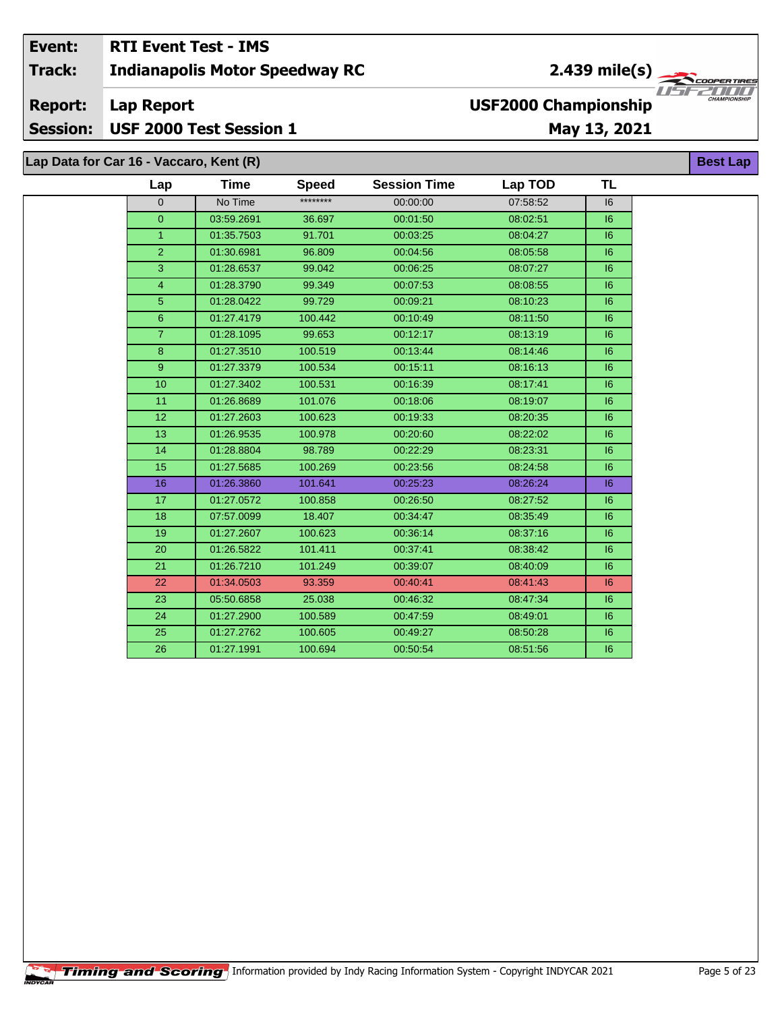#### Event: **RTI Event Test - IMS** 2.439 mile(s)  $\frac{1}{\sqrt{2\pi}}$ **Track: Indianapolis Motor Speedway RC** USF. **USF2000 Championship Report: Lap Report** USF 2000 Test Session 1 **Session:** May 13, 2021 **Best Lap**

| Lap Data for Car 16 - Vaccaro, Kent (R) |                |            |              |                     |          |    | <b>Best</b> |
|-----------------------------------------|----------------|------------|--------------|---------------------|----------|----|-------------|
|                                         | Lap            | Time       | <b>Speed</b> | <b>Session Time</b> | Lap TOD  | TL |             |
|                                         | $\mathbf{0}$   | No Time    | ********     | 00:00:00            | 07:58:52 | 16 |             |
|                                         | $\overline{0}$ | 03:59.2691 | 36.697       | 00:01:50            | 08:02:51 | 6  |             |
|                                         | $\mathbf{1}$   | 01:35.7503 | 91.701       | 00:03:25            | 08:04:27 | 6  |             |
|                                         | $\overline{2}$ | 01:30.6981 | 96.809       | 00:04:56            | 08:05:58 | 16 |             |
|                                         | 3              | 01:28.6537 | 99.042       | 00:06:25            | 08:07:27 | 6  |             |
|                                         | $\overline{4}$ | 01:28.3790 | 99.349       | 00:07:53            | 08:08:55 | 6  |             |
|                                         | 5              | 01:28.0422 | 99.729       | 00:09:21            | 08:10:23 | 6  |             |
|                                         | 6              | 01:27.4179 | 100.442      | 00:10:49            | 08:11:50 | 16 |             |
|                                         | $\overline{7}$ | 01:28.1095 | 99.653       | 00:12:17            | 08:13:19 | 16 |             |
|                                         | 8              | 01:27.3510 | 100.519      | 00:13:44            | 08:14:46 | 6  |             |
|                                         | 9              | 01:27.3379 | 100.534      | 00:15:11            | 08:16:13 | 16 |             |
|                                         | 10             | 01:27.3402 | 100.531      | 00:16:39            | 08:17:41 | 6  |             |
|                                         | 11             | 01:26.8689 | 101.076      | 00:18:06            | 08:19:07 | 6  |             |
|                                         | 12             | 01:27.2603 | 100.623      | 00:19:33            | 08:20:35 | 6  |             |
|                                         | 13             | 01:26.9535 | 100.978      | 00:20:60            | 08:22:02 | 16 |             |
|                                         | 14             | 01:28.8804 | 98.789       | 00:22:29            | 08:23:31 | 6  |             |
|                                         | 15             | 01:27.5685 | 100.269      | 00:23:56            | 08:24:58 | 6  |             |
|                                         | 16             | 01:26.3860 | 101.641      | 00:25:23            | 08:26:24 | 16 |             |
|                                         | 17             | 01:27.0572 | 100.858      | 00:26:50            | 08:27:52 | 6  |             |
|                                         | 18             | 07:57.0099 | 18.407       | 00:34:47            | 08:35:49 | 16 |             |
|                                         | 19             | 01:27.2607 | 100.623      | 00:36:14            | 08:37:16 | 6  |             |
|                                         | 20             | 01:26.5822 | 101.411      | 00:37:41            | 08:38:42 | 16 |             |
|                                         | 21             | 01:26.7210 | 101.249      | 00:39:07            | 08:40:09 | 6  |             |
|                                         | 22             | 01:34.0503 | 93.359       | 00:40:41            | 08:41:43 | 16 |             |
|                                         | 23             | 05:50.6858 | 25.038       | 00:46:32            | 08:47:34 | 16 |             |
|                                         | 24             | 01:27.2900 | 100.589      | 00:47:59            | 08:49:01 | 6  |             |
|                                         | 25             | 01:27.2762 | 100.605      | 00:49:27            | 08:50:28 | 16 |             |
|                                         | 26             | 01:27.1991 | 100.694      | 00:50:54            | 08:51:56 | 6  |             |
|                                         |                |            |              |                     |          |    |             |

ER TIR

 $\sqrt{I/I/I}$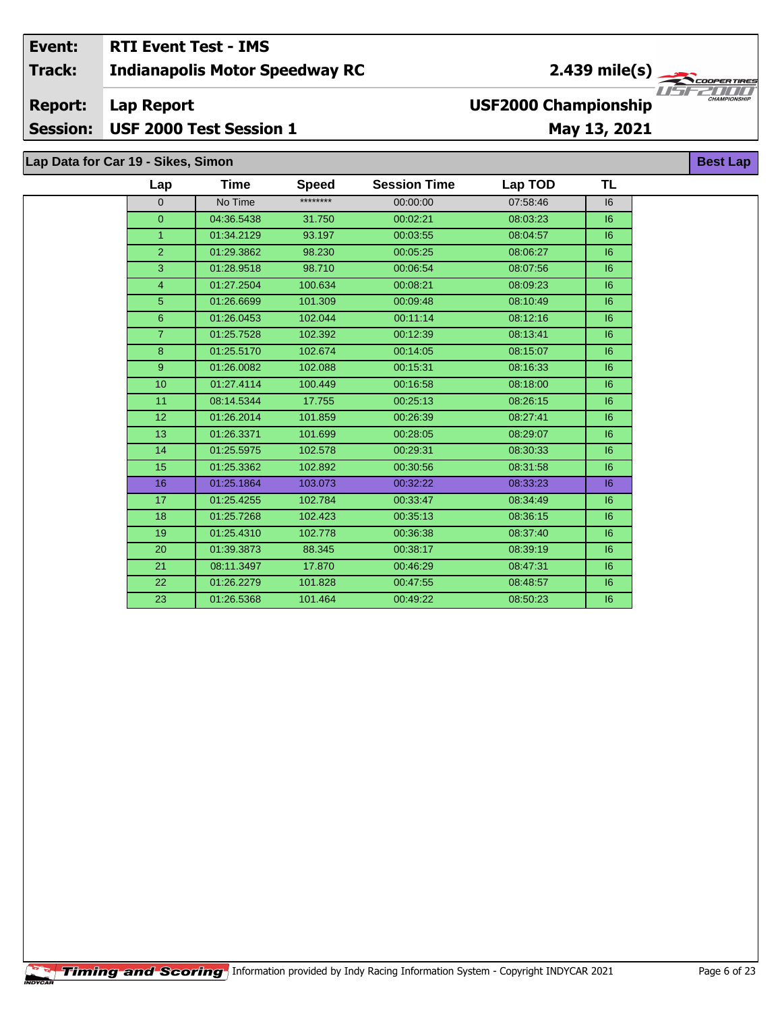#### Event: **RTI Event Test - IMS**  $2.439 \text{ mile(s)}$ **Indianapolis Motor Speedway RC Track: Report: Lap Report USF2000 Championship Session:** USF 2000 Test Session 1 May 13, 2021

Lap Data for Car 19 - Sikes, Simon

| Lap             | Time       | <b>Speed</b> | <b>Session Time</b> | Lap TOD  | <b>TL</b> |
|-----------------|------------|--------------|---------------------|----------|-----------|
| $\Omega$        | No Time    | ********     | 00:00:00            | 07:58:46 | 16        |
| $\overline{0}$  | 04:36.5438 | 31.750       | 00:02:21            | 08:03:23 | 6         |
| $\mathbf{1}$    | 01:34.2129 | 93.197       | 00:03:55            | 08:04:57 | 6         |
| $\overline{2}$  | 01:29.3862 | 98.230       | 00:05:25            | 08:06:27 | 6         |
| 3               | 01:28.9518 | 98.710       | 00:06:54            | 08:07:56 | 6         |
| $\overline{4}$  | 01:27.2504 | 100.634      | 00:08:21            | 08:09:23 | 16        |
| $\overline{5}$  | 01:26.6699 | 101.309      | 00:09:48            | 08:10:49 | 16        |
| $6\overline{6}$ | 01:26.0453 | 102.044      | 00:11:14            | 08:12:16 | 16        |
| $\overline{7}$  | 01:25.7528 | 102.392      | 00:12:39            | 08:13:41 | 16        |
| 8               | 01:25.5170 | 102.674      | 00:14:05            | 08:15:07 | 16        |
| 9 <sup>°</sup>  | 01:26.0082 | 102.088      | 00:15:31            | 08:16:33 | 6         |
| 10              | 01:27.4114 | 100.449      | 00:16:58            | 08:18:00 | 6         |
| 11              | 08:14.5344 | 17.755       | 00:25:13            | 08:26:15 | 6         |
| 12              | 01:26.2014 | 101.859      | 00:26:39            | 08:27:41 | 16        |
| 13              | 01:26.3371 | 101.699      | 00:28:05            | 08:29:07 | 6         |
| 14              | 01:25.5975 | 102.578      | 00:29:31            | 08:30:33 | 6         |
| 15              | 01:25.3362 | 102.892      | 00:30:56            | 08:31:58 | 6         |
| 16              | 01:25.1864 | 103.073      | 00:32:22            | 08:33:23 | 6         |
| 17              | 01:25.4255 | 102.784      | 00:33:47            | 08:34:49 | 6         |
| 18              | 01:25.7268 | 102.423      | 00:35:13            | 08:36:15 | 16        |
| 19              | 01:25.4310 | 102.778      | 00:36:38            | 08:37:40 | 16        |
| 20              | 01:39.3873 | 88.345       | 00:38:17            | 08:39:19 | 6         |
| 21              | 08:11.3497 | 17.870       | 00:46:29            | 08:47:31 | 16        |
| 22              | 01:26.2279 | 101.828      | 00:47:55            | 08:48:57 | 16        |
| 23              | 01:26.5368 | 101.464      | 00:49:22            | 08:50:23 | 6         |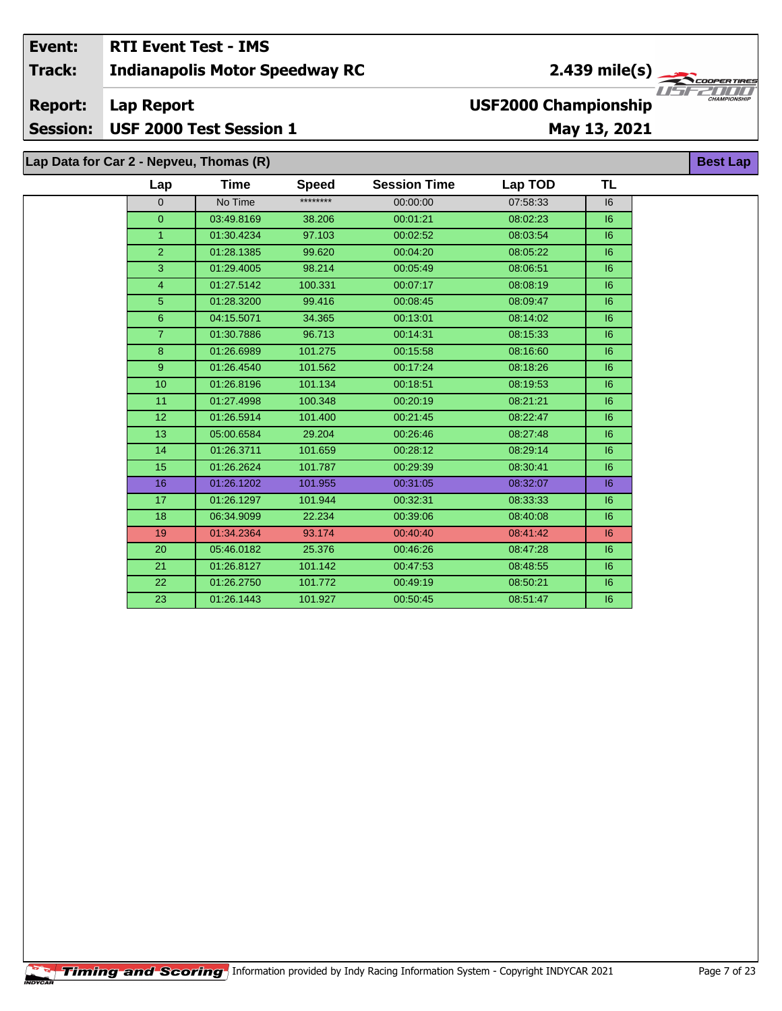#### Event: **RTI Event Test - IMS**  $2.439$  mile(s) Track: **Indianapolis Motor Speedway RC** ER TIR USFZULL **Report: Lap Report USF2000 Championship** USF 2000 Test Session 1 **Session:** May 13, 2021 Lap Data for Car 2 - Nepveu, Thomas (R) **Best Lap**

| Lap             | <b>Time</b> | <b>Speed</b> | <b>Session Time</b> | Lap TOD  | TL |
|-----------------|-------------|--------------|---------------------|----------|----|
| $\Omega$        | No Time     | ********     | 00:00:00            | 07:58:33 | 16 |
| $\overline{0}$  | 03:49.8169  | 38.206       | 00:01:21            | 08:02:23 | 6  |
| $\overline{1}$  | 01:30.4234  | 97.103       | 00:02:52            | 08:03:54 | 6  |
| $\overline{2}$  | 01:28.1385  | 99.620       | 00:04:20            | 08:05:22 | 6  |
| 3               | 01:29.4005  | 98.214       | 00:05:49            | 08:06:51 | 6  |
| $\overline{4}$  | 01:27.5142  | 100.331      | 00:07:17            | 08:08:19 | 6  |
| 5               | 01:28.3200  | 99.416       | 00:08:45            | 08:09:47 | 6  |
| 6               | 04:15.5071  | 34.365       | 00:13:01            | 08:14:02 | 6  |
| $\overline{7}$  | 01:30.7886  | 96.713       | 00:14:31            | 08:15:33 | 6  |
| 8               | 01:26.6989  | 101.275      | 00:15:58            | 08:16:60 | 6  |
| 9 <sup>°</sup>  | 01:26.4540  | 101.562      | 00:17:24            | 08:18:26 | 6  |
| 10 <sub>1</sub> | 01:26.8196  | 101.134      | 00:18:51            | 08:19:53 | 6  |
| 11              | 01:27.4998  | 100.348      | 00:20:19            | 08:21:21 | 6  |
| 12 <sub>2</sub> | 01:26.5914  | 101.400      | 00:21:45            | 08:22:47 | 6  |
| 13              | 05:00.6584  | 29.204       | 00:26:46            | 08:27:48 | 6  |
| 14              | 01:26.3711  | 101.659      | 00:28:12            | 08:29:14 | 6  |
| 15              | 01:26.2624  | 101.787      | 00:29:39            | 08:30:41 | 6  |
| 16              | 01:26.1202  | 101.955      | 00:31:05            | 08:32:07 | 6  |
| 17              | 01:26.1297  | 101.944      | 00:32:31            | 08:33:33 | 16 |
| 18              | 06:34.9099  | 22.234       | 00:39:06            | 08:40:08 | 16 |
| 19              | 01:34.2364  | 93.174       | 00:40:40            | 08:41:42 | 6  |
| 20              | 05:46.0182  | 25.376       | 00:46:26            | 08:47:28 | 6  |
| 21              | 01:26.8127  | 101.142      | 00:47:53            | 08:48:55 | 16 |
| 22              | 01:26.2750  | 101.772      | 00:49:19            | 08:50:21 | 16 |
| 23              | 01:26.1443  | 101.927      | 00:50:45            | 08:51:47 | 16 |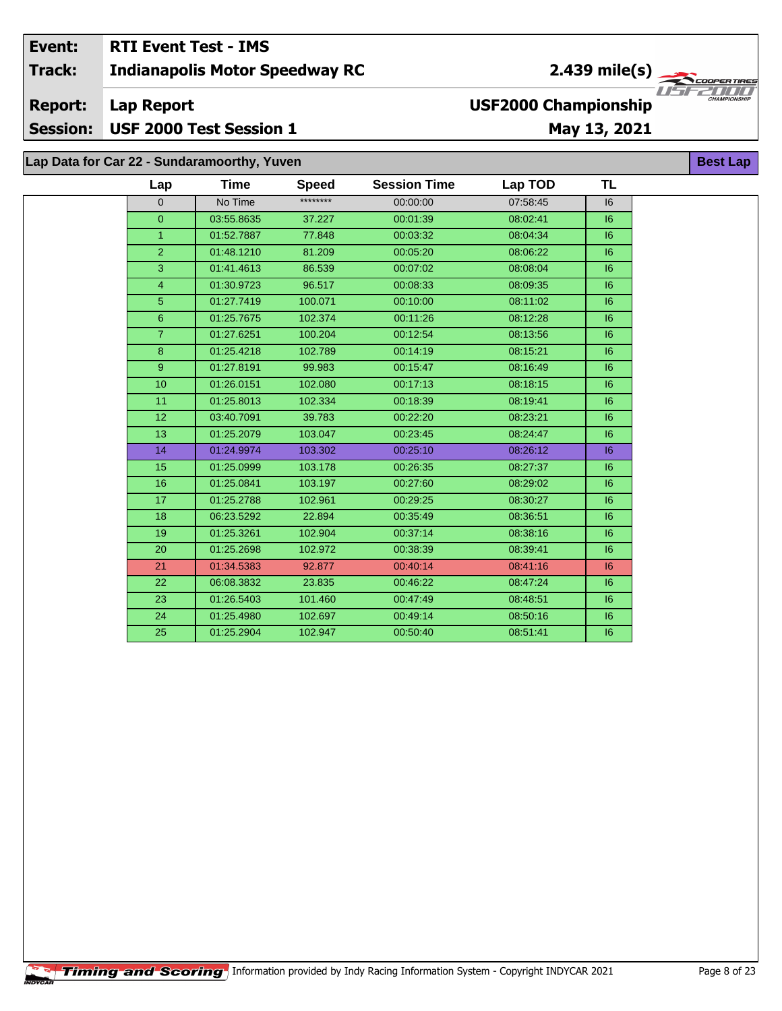#### Event: **RTI Event Test - IMS** 2.439 mile(s) **Indianapolis Motor Speedway RC Track: Report: Lap Report USF2000 Championship** USF 2000 Test Session 1 **Session:** May 13, 2021

Lap Data for Car 22 - Sundaramoorthy, Yuven

| Lap            | <b>Time</b> | <b>Speed</b> | <b>Session Time</b> | Lap TOD  | <b>TL</b> |
|----------------|-------------|--------------|---------------------|----------|-----------|
| $\Omega$       | No Time     | ********     | 00:00:00            | 07:58:45 | 6         |
| $\overline{0}$ | 03:55.8635  | 37.227       | 00:01:39            | 08:02:41 | 6         |
| 1              | 01:52.7887  | 77.848       | 00:03:32            | 08:04:34 | 6         |
| $\overline{2}$ | 01:48.1210  | 81.209       | 00:05:20            | 08:06:22 | 6         |
| 3              | 01:41.4613  | 86.539       | 00:07:02            | 08:08:04 | 6         |
| $\overline{4}$ | 01:30.9723  | 96.517       | 00:08:33            | 08:09:35 | 6         |
| 5              | 01:27.7419  | 100.071      | 00:10:00            | 08:11:02 | 6         |
| $\overline{6}$ | 01:25.7675  | 102.374      | 00:11:26            | 08:12:28 | 6         |
| $\overline{7}$ | 01:27.6251  | 100.204      | 00:12:54            | 08:13:56 | 6         |
| $\bf 8$        | 01:25.4218  | 102.789      | 00:14:19            | 08:15:21 | 6         |
| 9 <sup>°</sup> | 01:27.8191  | 99.983       | 00:15:47            | 08:16:49 | 6         |
| 10             | 01:26.0151  | 102.080      | 00:17:13            | 08:18:15 | 6         |
| 11             | 01:25.8013  | 102.334      | 00:18:39            | 08:19:41 | 6         |
| 12             | 03:40.7091  | 39.783       | 00:22:20            | 08:23:21 | 6         |
| 13             | 01:25.2079  | 103.047      | 00:23:45            | 08:24:47 | 6         |
| 14             | 01:24.9974  | 103.302      | 00:25:10            | 08:26:12 | 6         |
| 15             | 01:25.0999  | 103.178      | 00:26:35            | 08:27:37 | 6         |
| 16             | 01:25.0841  | 103.197      | 00:27:60            | 08:29:02 | 6         |
| 17             | 01:25.2788  | 102.961      | 00:29:25            | 08:30:27 | 6         |
| 18             | 06:23.5292  | 22.894       | 00:35:49            | 08:36:51 | 6         |
| 19             | 01:25.3261  | 102.904      | 00:37:14            | 08:38:16 | 6         |
| 20             | 01:25.2698  | 102.972      | 00:38:39            | 08:39:41 | 16        |
| 21             | 01:34.5383  | 92.877       | 00:40:14            | 08:41:16 | 6         |
| 22             | 06:08.3832  | 23.835       | 00:46:22            | 08:47:24 | 6         |
| 23             | 01:26.5403  | 101.460      | 00:47:49            | 08:48:51 | 16        |
| 24             | 01:25.4980  | 102.697      | 00:49:14            | 08:50:16 | 6         |
| 25             | 01:25.2904  | 102.947      | 00:50:40            | 08:51:41 | 16        |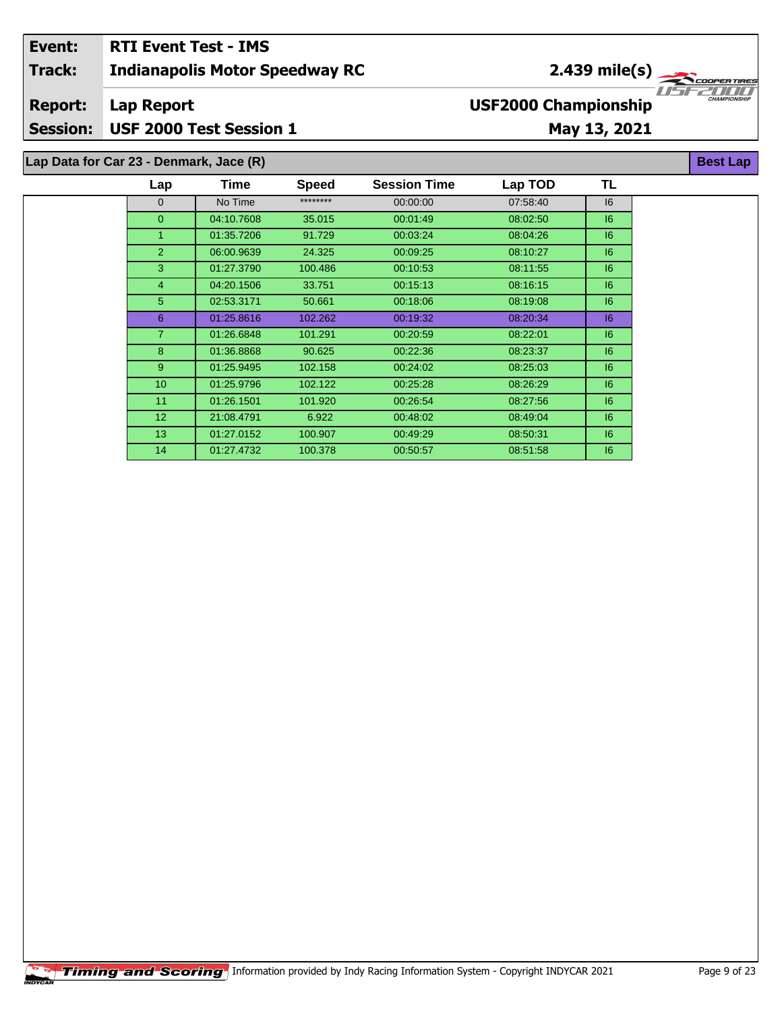### **Indianapolis Motor Speedway RC Lap Report May 13, 2021 Event: RTI Event Test - IMS Track: Report: Session: USF 2000 Test Session 1 USF2000 Championship** 2.439 mile(s) **Best Lap Lap Data for Car 23 - Denmark, Jace (R)**

| Lap             | Time       | <b>Speed</b> | <b>Session Time</b> | Lap TOD  | TL |
|-----------------|------------|--------------|---------------------|----------|----|
| $\mathbf{0}$    | No Time    | ********     | 00:00:00            | 07:58:40 | 16 |
| $\overline{0}$  | 04:10.7608 | 35.015       | 00:01:49            | 08:02:50 | 6  |
| 1               | 01:35.7206 | 91.729       | 00:03:24            | 08:04:26 | 6  |
| $\overline{2}$  | 06:00.9639 | 24.325       | 00:09:25            | 08:10:27 | 16 |
| 3               | 01:27.3790 | 100.486      | 00:10:53            | 08:11:55 | 6  |
| $\overline{4}$  | 04:20.1506 | 33.751       | 00:15:13            | 08:16:15 | 6  |
| 5               | 02:53.3171 | 50.661       | 00:18:06            | 08:19:08 | 6  |
| 6               | 01:25.8616 | 102.262      | 00:19:32            | 08:20:34 | 16 |
| $\overline{7}$  | 01:26.6848 | 101.291      | 00:20:59            | 08:22:01 | 16 |
| 8               | 01:36.8868 | 90.625       | 00:22:36            | 08:23:37 | 6  |
| $9^{\circ}$     | 01:25.9495 | 102.158      | 00:24:02            | 08:25:03 | 6  |
| 10 <sup>°</sup> | 01:25.9796 | 102.122      | 00:25:28            | 08:26:29 | 6  |
| 11              | 01:26.1501 | 101.920      | 00:26:54            | 08:27:56 | 16 |
| 12 <sup>2</sup> | 21:08.4791 | 6.922        | 00:48:02            | 08:49:04 | 16 |
| 13 <sup>°</sup> | 01:27.0152 | 100.907      | 00:49:29            | 08:50:31 | 6  |
| 14              | 01:27.4732 | 100.378      | 00:50:57            | 08:51:58 | 16 |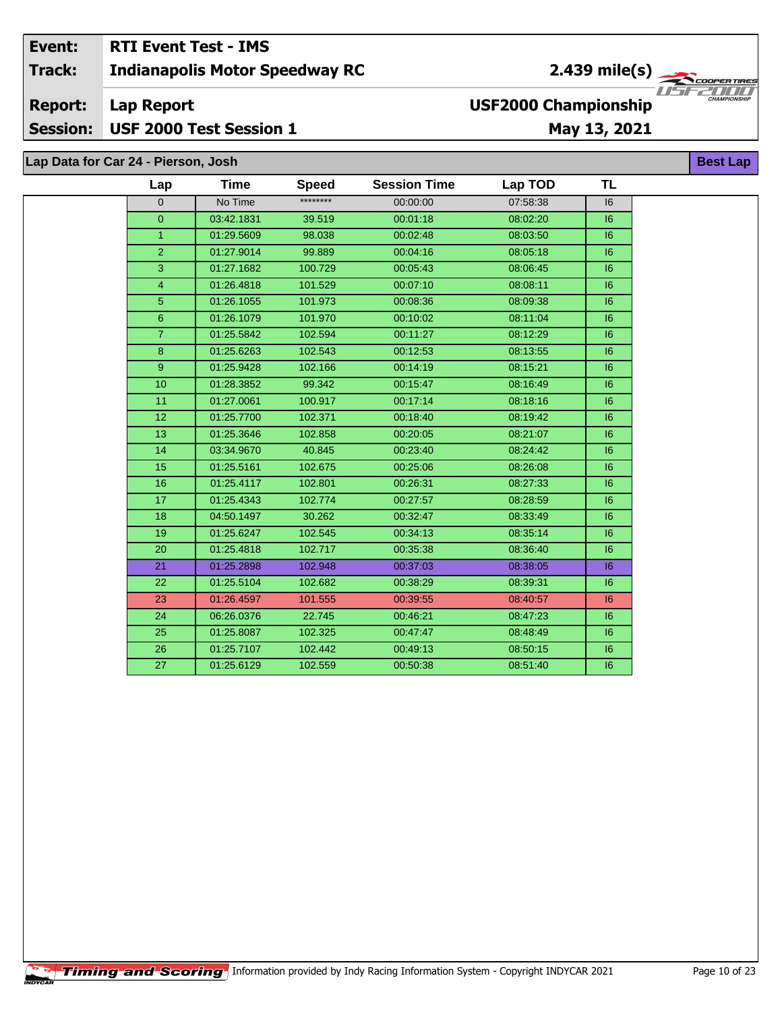### **RTI Event Test - IMS** Event: 2.439 mile(s)  $\frac{1}{\sqrt{2\pi}}$ **Track: Indianapolis Motor Speedway RC Lap Report USF2000 Championship Report:**

May 13, 2021

| Lap Data for Car 24 - Pierson, Josh |                 |             |              |                     |          |           | <b>Best Lap</b> |
|-------------------------------------|-----------------|-------------|--------------|---------------------|----------|-----------|-----------------|
|                                     | Lap             | <b>Time</b> | <b>Speed</b> | <b>Session Time</b> | Lap TOD  | <b>TL</b> |                 |
|                                     | 0               | No Time     | ********     | 00:00:00            | 07:58:38 | 16        |                 |
|                                     | $\overline{0}$  | 03:42.1831  | 39.519       | 00:01:18            | 08:02:20 | 6         |                 |
|                                     | 1               | 01:29.5609  | 98.038       | 00:02:48            | 08:03:50 | 16        |                 |
|                                     | $\overline{2}$  | 01:27.9014  | 99.889       | 00:04:16            | 08:05:18 | 6         |                 |
|                                     | 3               | 01:27.1682  | 100.729      | 00:05:43            | 08:06:45 | 6         |                 |
|                                     | 4               | 01:26.4818  | 101.529      | 00:07:10            | 08:08:11 | 16        |                 |
|                                     | 5               | 01:26.1055  | 101.973      | 00:08:36            | 08:09:38 | 6         |                 |
|                                     | $6\phantom{a}$  | 01:26.1079  | 101.970      | 00:10:02            | 08:11:04 | 16        |                 |
|                                     | $\overline{7}$  | 01:25.5842  | 102.594      | 00:11:27            | 08:12:29 | 16        |                 |
|                                     | 8               | 01:25.6263  | 102.543      | 00:12:53            | 08:13:55 | 6         |                 |
|                                     | 9               | 01:25.9428  | 102.166      | 00:14:19            | 08:15:21 | 6         |                 |
|                                     | 10 <sup>1</sup> | 01:28.3852  | 99.342       | 00:15:47            | 08:16:49 | 6         |                 |
|                                     | 11              | 01:27.0061  | 100.917      | 00:17:14            | 08:18:16 | 16        |                 |
|                                     | 12              | 01:25.7700  | 102.371      | 00:18:40            | 08:19:42 | 16        |                 |
|                                     | 13              | 01:25.3646  | 102.858      | 00:20:05            | 08:21:07 | 6         |                 |
|                                     | 14              | 03:34.9670  | 40.845       | 00:23:40            | 08:24:42 | 6         |                 |
|                                     | 15              | 01:25.5161  | 102.675      | 00:25:06            | 08:26:08 | 6         |                 |
|                                     | 16              | 01:25.4117  | 102.801      | 00:26:31            | 08:27:33 | 16        |                 |
|                                     | 17              | 01:25.4343  | 102.774      | 00:27:57            | 08:28:59 | 6         |                 |
|                                     | 18              | 04:50.1497  | 30.262       | 00:32:47            | 08:33:49 | 16        |                 |
|                                     | 19              | 01:25.6247  | 102.545      | 00:34:13            | 08:35:14 | 6         |                 |
|                                     | 20              | 01:25.4818  | 102.717      | 00:35:38            | 08:36:40 | 16        |                 |
|                                     | 21              | 01:25.2898  | 102.948      | 00:37:03            | 08:38:05 | 6         |                 |
|                                     | 22              | 01:25.5104  | 102.682      | 00:38:29            | 08:39:31 | 6         |                 |
|                                     | 23              | 01:26.4597  | 101.555      | 00:39:55            | 08:40:57 | 16        |                 |
|                                     | 24              | 06:26.0376  | 22.745       | 00:46:21            | 08:47:23 | 6         |                 |
|                                     | 25              | 01:25.8087  | 102.325      | 00:47:47            | 08:48:49 | 16        |                 |
|                                     | 26              | 01:25.7107  | 102.442      | 00:49:13            | 08:50:15 | 16        |                 |
|                                     | 27              | 01:25.6129  | 102.559      | 00:50:38            | 08:51:40 | 6         |                 |



USF 2000 Test Session 1 **Session:**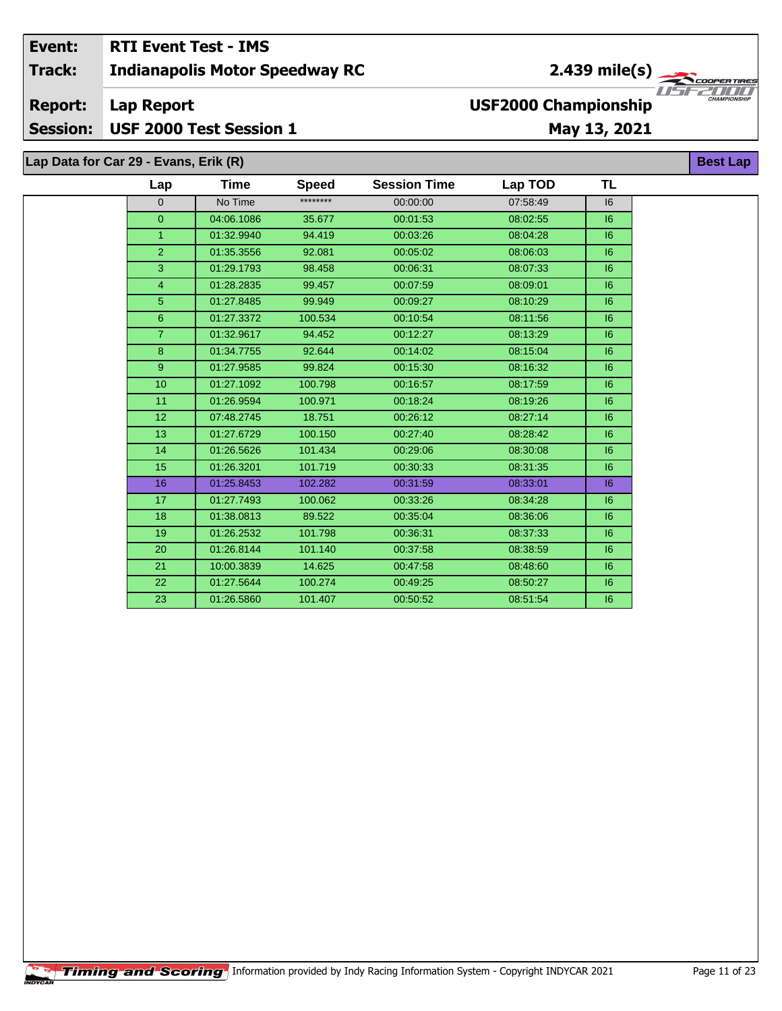### Event: **RTI Event Test - IMS**  $2.439$  mile(s) **Indianapolis Motor Speedway RC Track: USF2000 Championship Report: Lap Report** Session: USF 2000 Test Session 1 May 13, 2021

Lap Data for Car 29 - Evans, Erik (R)

| Lap            | Time       | <b>Speed</b> | <b>Session Time</b> | Lap TOD  | TL |
|----------------|------------|--------------|---------------------|----------|----|
| $\mathbf{0}$   | No Time    | ********     | 00:00:00            | 07:58:49 | 16 |
| $\overline{0}$ | 04:06.1086 | 35.677       | 00:01:53            | 08:02:55 | 6  |
| $\mathbf{1}$   | 01:32.9940 | 94.419       | 00:03:26            | 08:04:28 | 6  |
| $\overline{2}$ | 01:35.3556 | 92.081       | 00:05:02            | 08:06:03 | 6  |
| $\overline{3}$ | 01:29.1793 | 98.458       | 00:06:31            | 08:07:33 | 6  |
| $\overline{4}$ | 01:28.2835 | 99.457       | 00:07:59            | 08:09:01 | 16 |
| 5 <sup>5</sup> | 01:27.8485 | 99.949       | 00:09:27            | 08:10:29 | 16 |
| 6              | 01:27.3372 | 100.534      | 00:10:54            | 08:11:56 | 6  |
| $\overline{7}$ | 01:32.9617 | 94.452       | 00:12:27            | 08:13:29 | 6  |
| 8              | 01:34.7755 | 92.644       | 00:14:02            | 08:15:04 | 6  |
| 9              | 01:27.9585 | 99.824       | 00:15:30            | 08:16:32 | 16 |
| 10             | 01:27.1092 | 100.798      | 00:16:57            | 08:17:59 | 6  |
| 11             | 01:26.9594 | 100.971      | 00:18:24            | 08:19:26 | 6  |
| 12             | 07:48.2745 | 18.751       | 00:26:12            | 08:27:14 | 6  |
| 13             | 01:27.6729 | 100.150      | 00:27:40            | 08:28:42 | 6  |
| 14             | 01:26.5626 | 101.434      | 00:29:06            | 08:30:08 | 6  |
| 15             | 01:26.3201 | 101.719      | 00:30:33            | 08:31:35 | 6  |
| 16             | 01:25.8453 | 102.282      | 00:31:59            | 08:33:01 | 6  |
| 17             | 01:27.7493 | 100.062      | 00:33:26            | 08:34:28 | 6  |
| 18             | 01:38.0813 | 89.522       | 00:35:04            | 08:36:06 | 16 |
| 19             | 01:26.2532 | 101.798      | 00:36:31            | 08:37:33 | 6  |
| 20             | 01:26.8144 | 101.140      | 00:37:58            | 08:38:59 | 6  |
| 21             | 10:00.3839 | 14.625       | 00:47:58            | 08:48:60 | 6  |
| 22             | 01:27.5644 | 100.274      | 00:49:25            | 08:50:27 | 6  |
| 23             | 01:26.5860 | 101.407      | 00:50:52            | 08:51:54 | 6  |

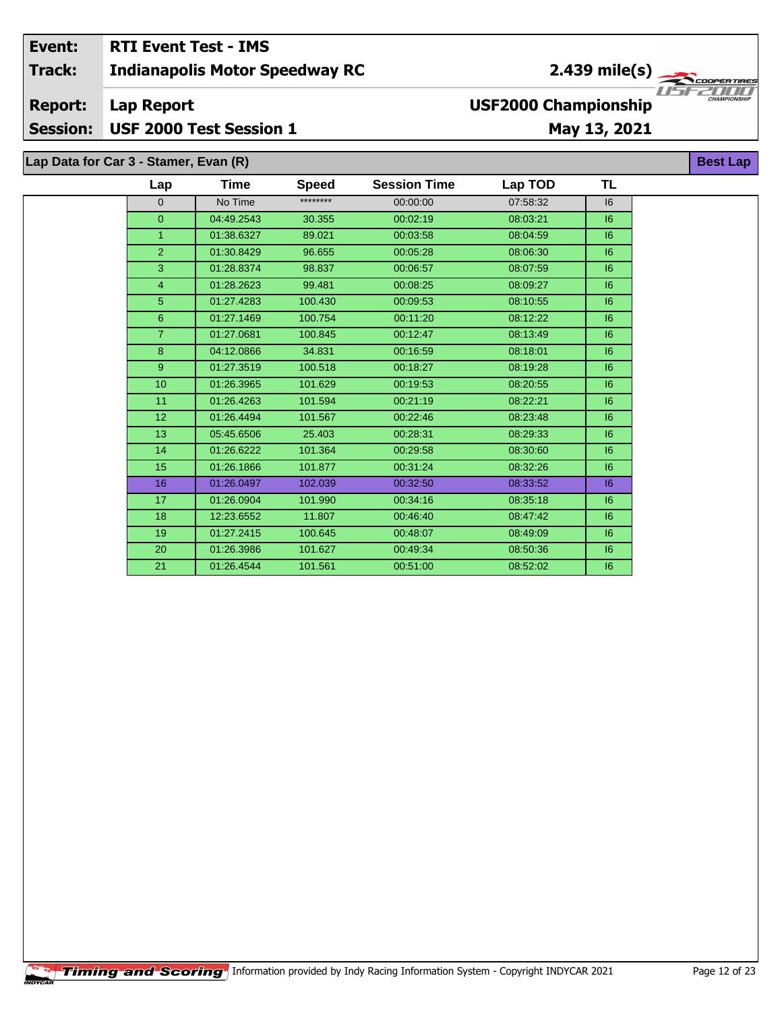#### **RTI Event Test - IMS** Event: 2.439 mile(s) **Indianapolis Motor Speedway RC Track:** U S F **Lap Report Report: USF2000 Championship** USF 2000 Test Session 1 **Session:** May 13, 2021

| Lap Data for Car 3 - Stamer, Evan (R) |                 |             |              |                     |          |           | <b>Best</b> |
|---------------------------------------|-----------------|-------------|--------------|---------------------|----------|-----------|-------------|
|                                       | Lap             | <b>Time</b> | <b>Speed</b> | <b>Session Time</b> | Lap TOD  | <b>TL</b> |             |
|                                       | $\mathbf{0}$    | No Time     | ********     | 00:00:00            | 07:58:32 | 16        |             |
|                                       | $\overline{0}$  | 04:49.2543  | 30.355       | 00:02:19            | 08:03:21 | 16        |             |
|                                       | $\mathbf{1}$    | 01:38.6327  | 89.021       | 00:03:58            | 08:04:59 | 6         |             |
|                                       | $\overline{2}$  | 01:30.8429  | 96.655       | 00:05:28            | 08:06:30 | 16        |             |
|                                       | $\mathbf{3}$    | 01:28.8374  | 98.837       | 00:06:57            | 08:07:59 | 6         |             |
|                                       | 4               | 01:28.2623  | 99.481       | 00:08:25            | 08:09:27 | 16        |             |
|                                       | 5               | 01:27.4283  | 100.430      | 00:09:53            | 08:10:55 | 6         |             |
|                                       | 6               | 01:27.1469  | 100.754      | 00:11:20            | 08:12:22 | 16        |             |
|                                       | $\overline{7}$  | 01:27.0681  | 100.845      | 00:12:47            | 08:13:49 | 16        |             |
|                                       | 8               | 04:12.0866  | 34.831       | 00:16:59            | 08:18:01 | 6         |             |
|                                       | 9 <sup>°</sup>  | 01:27.3519  | 100.518      | 00:18:27            | 08:19:28 | 16        |             |
|                                       | 10              | 01:26.3965  | 101.629      | 00:19:53            | 08:20:55 | 16        |             |
|                                       | 11              | 01:26.4263  | 101.594      | 00:21:19            | 08:22:21 | 16        |             |
|                                       | 12 <sub>2</sub> | 01:26.4494  | 101.567      | 00:22:46            | 08:23:48 | 16        |             |
|                                       | 13 <sup>°</sup> | 05:45.6506  | 25.403       | 00:28:31            | 08:29:33 | 6         |             |
|                                       | 14              | 01:26.6222  | 101.364      | 00:29:58            | 08:30:60 | 6         |             |
|                                       | 15              | 01:26.1866  | 101.877      | 00:31:24            | 08:32:26 | 16        |             |
|                                       | 16              | 01:26.0497  | 102.039      | 00:32:50            | 08:33:52 | 6         |             |
|                                       | 17              | 01:26.0904  | 101.990      | 00:34:16            | 08:35:18 | 16        |             |
|                                       | 18              | 12:23.6552  | 11.807       | 00:46:40            | 08:47:42 | 16        |             |
|                                       | 19              | 01:27.2415  | 100.645      | 00:48:07            | 08:49:09 | 16        |             |
|                                       | 20              | 01:26.3986  | 101.627      | 00:49:34            | 08:50:36 | 16        |             |
|                                       | 21              | 01:26.4544  | 101.561      | 00:51:00            | 08:52:02 | 6         |             |

'ER TIR

7000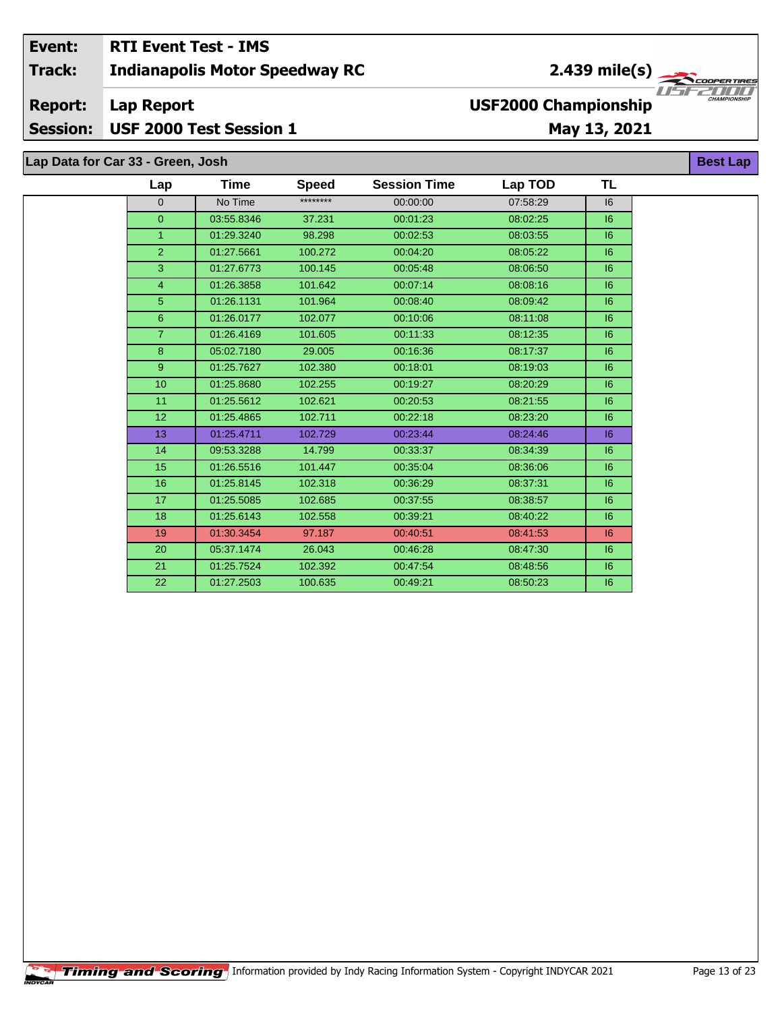#### Event: **RTI Event Test - IMS** 2.439 mile(s) Track: **Indianapolis Motor Speedway RC Report: Lap Report USF2000 Championship**

**Session:** USF 2000 Test Session 1

# May 13, 2021

Lap Data for Car 33 - Green, Josh

| Lap             | Time       | <b>Speed</b> | <b>Session Time</b> | Lap TOD  | <b>TL</b> |  |
|-----------------|------------|--------------|---------------------|----------|-----------|--|
| 0               | No Time    | ********     | 00:00:00            | 07:58:29 | 16        |  |
| $\overline{0}$  | 03:55.8346 | 37.231       | 00:01:23            | 08:02:25 | 6         |  |
| $\overline{1}$  | 01:29.3240 | 98.298       | 00:02:53            | 08:03:55 | 6         |  |
| $\overline{2}$  | 01:27.5661 | 100.272      | 00:04:20            | 08:05:22 | 6         |  |
| 3               | 01:27.6773 | 100.145      | 00:05:48            | 08:06:50 | 6         |  |
| $\overline{4}$  | 01:26.3858 | 101.642      | 00:07:14            | 08:08:16 | 6         |  |
| $\overline{5}$  | 01:26.1131 | 101.964      | 00:08:40            | 08:09:42 | 16        |  |
| $6\phantom{1}$  | 01:26.0177 | 102.077      | 00:10:06            | 08:11:08 | 6         |  |
| $\overline{7}$  | 01:26.4169 | 101.605      | 00:11:33            | 08:12:35 | 6         |  |
| 8               | 05:02.7180 | 29.005       | 00:16:36            | 08:17:37 | 6         |  |
| 9               | 01:25.7627 | 102.380      | 00:18:01            | 08:19:03 | 6         |  |
| 10 <sup>1</sup> | 01:25.8680 | 102.255      | 00:19:27            | 08:20:29 | 6         |  |
| 11              | 01:25.5612 | 102.621      | 00:20:53            | 08:21:55 | 6         |  |
| 12 <sup>2</sup> | 01:25.4865 | 102.711      | 00:22:18            | 08:23:20 | 6         |  |
| 13              | 01:25.4711 | 102.729      | 00:23:44            | 08:24:46 | 6         |  |
| 14              | 09:53.3288 | 14.799       | 00:33:37            | 08:34:39 | 6         |  |
| 15              | 01:26.5516 | 101.447      | 00:35:04            | 08:36:06 | 16        |  |
| 16              | 01:25.8145 | 102.318      | 00:36:29            | 08:37:31 | 6         |  |
| 17              | 01:25.5085 | 102.685      | 00:37:55            | 08:38:57 | 6         |  |
| 18              | 01:25.6143 | 102.558      | 00:39:21            | 08:40:22 | 6         |  |
| 19              | 01:30.3454 | 97.187       | 00:40:51            | 08:41:53 | 6         |  |
| 20              | 05:37.1474 | 26.043       | 00:46:28            | 08:47:30 | 6         |  |
| 21              | 01:25.7524 | 102.392      | 00:47:54            | 08:48:56 | 16        |  |
| 22              | 01:27.2503 | 100.635      | 00:49:21            | 08:50:23 | 6         |  |

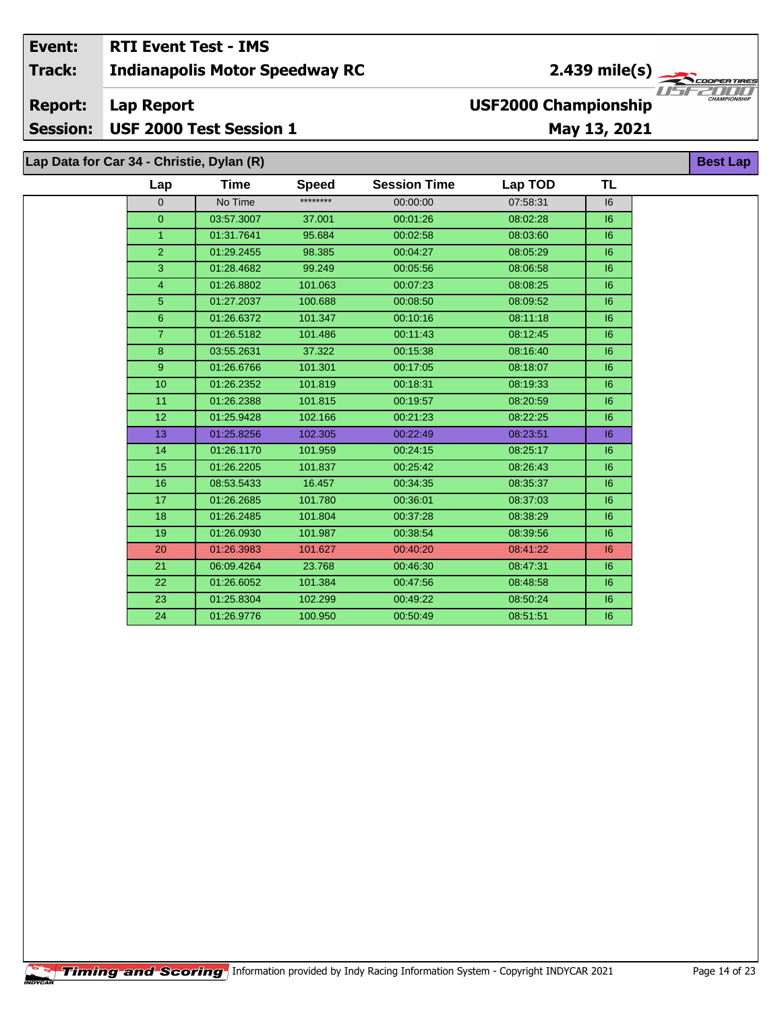#### Event: **RTI Event Test - IMS**  $2.439$  mile(s) **Indianapolis Motor Speedway RC Track: Report: Lap Report USF2000 Championship Session:** USF 2000 Test Session 1 May 13, 2021

# Lap Data for Car 34 - Christie, Dylan (R)

| Lap            | Time       | <b>Speed</b> | <b>Session Time</b> | Lap TOD  | TL |
|----------------|------------|--------------|---------------------|----------|----|
| $\mathbf{0}$   | No Time    | ********     | 00:00:00            | 07:58:31 | 16 |
| $\overline{0}$ | 03:57.3007 | 37.001       | 00:01:26            | 08:02:28 | 6  |
| $\mathbf{1}$   | 01:31.7641 | 95.684       | 00:02:58            | 08:03:60 | 6  |
| $\overline{2}$ | 01:29.2455 | 98.385       | 00:04:27            | 08:05:29 | 6  |
| 3              | 01:28.4682 | 99.249       | 00:05:56            | 08:06:58 | 16 |
| $\overline{4}$ | 01:26.8802 | 101.063      | 00:07:23            | 08:08:25 | 6  |
| 5 <sup>5</sup> | 01:27.2037 | 100.688      | 00:08:50            | 08:09:52 | 6  |
| 6              | 01:26.6372 | 101.347      | 00:10:16            | 08:11:18 | 16 |
| $\overline{7}$ | 01:26.5182 | 101.486      | 00:11:43            | 08:12:45 | 16 |
| 8              | 03:55.2631 | 37.322       | 00:15:38            | 08:16:40 | 16 |
| 9              | 01:26.6766 | 101.301      | 00:17:05            | 08:18:07 | 16 |
| 10             | 01:26.2352 | 101.819      | 00:18:31            | 08:19:33 | 6  |
| 11             | 01:26.2388 | 101.815      | 00:19:57            | 08:20:59 | 6  |
| 12             | 01:25.9428 | 102.166      | 00:21:23            | 08:22:25 | 16 |
| 13             | 01:25.8256 | 102.305      | 00:22:49            | 08:23:51 | 6  |
| 14             | 01:26.1170 | 101.959      | 00:24:15            | 08:25:17 | 6  |
| 15             | 01:26.2205 | 101.837      | 00:25:42            | 08:26:43 | 16 |
| 16             | 08:53.5433 | 16.457       | 00:34:35            | 08:35:37 | 16 |
| 17             | 01:26.2685 | 101.780      | 00:36:01            | 08:37:03 | 16 |
| 18             | 01:26.2485 | 101.804      | 00:37:28            | 08:38:29 | 6  |
| 19             | 01:26.0930 | 101.987      | 00:38:54            | 08:39:56 | 6  |
| 20             | 01:26.3983 | 101.627      | 00:40:20            | 08:41:22 | 6  |
| 21             | 06:09.4264 | 23.768       | 00:46:30            | 08:47:31 | 6  |
| 22             | 01:26.6052 | 101.384      | 00:47:56            | 08:48:58 | 6  |
| 23             | 01:25.8304 | 102.299      | 00:49:22            | 08:50:24 | 16 |
| 24             | 01:26.9776 | 100.950      | 00:50:49            | 08:51:51 | 16 |

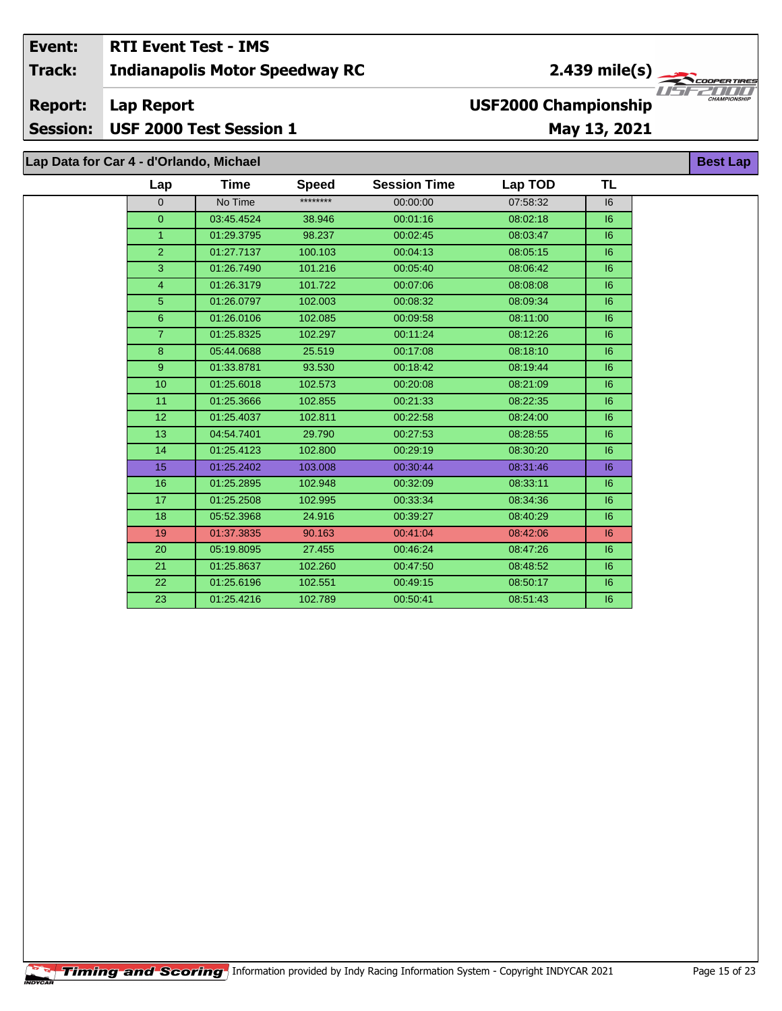#### Event: **RTI Event Test - IMS** 2.439 mile(s) Track: **Indianapolis Motor Speedway RC** ER TIR U S F 7000 **USF2000 Championship Report: Lap Report** USF 2000 Test Session 1 **Session:** May 13, 2021 Lap Data for Car 4 - d'Orlando, Michael **Best Lap**

| Lap             | <b>Time</b> | <b>Speed</b> | <b>Session Time</b> | Lap TOD  | TL |
|-----------------|-------------|--------------|---------------------|----------|----|
| $\overline{0}$  | No Time     | ********     | 00:00:00            | 07:58:32 | 16 |
| $\overline{0}$  | 03:45.4524  | 38.946       | 00:01:16            | 08:02:18 | 6  |
| $\mathbf{1}$    | 01:29.3795  | 98.237       | 00:02:45            | 08:03:47 | 6  |
| $\overline{2}$  | 01:27.7137  | 100.103      | 00:04:13            | 08:05:15 | 6  |
| 3               | 01:26.7490  | 101.216      | 00:05:40            | 08:06:42 | 6  |
| $\overline{4}$  | 01:26.3179  | 101.722      | 00:07:06            | 08:08:08 | 6  |
| 5 <sup>5</sup>  | 01:26.0797  | 102.003      | 00:08:32            | 08:09:34 | 6  |
| 6               | 01:26.0106  | 102.085      | 00:09:58            | 08:11:00 | 16 |
| 7 <sup>1</sup>  | 01:25.8325  | 102.297      | 00:11:24            | 08:12:26 | 6  |
| 8               | 05:44.0688  | 25.519       | 00:17:08            | 08:18:10 | 6  |
| 9 <sup>°</sup>  | 01:33.8781  | 93.530       | 00:18:42            | 08:19:44 | 6  |
| 10 <sup>1</sup> | 01:25.6018  | 102.573      | 00:20:08            | 08:21:09 | 16 |
| 11              | 01:25.3666  | 102.855      | 00:21:33            | 08:22:35 | 16 |
| 12              | 01:25.4037  | 102.811      | 00:22:58            | 08:24:00 | 6  |
| 13              | 04:54.7401  | 29.790       | 00:27:53            | 08:28:55 | 6  |
| 14              | 01:25.4123  | 102.800      | 00:29:19            | 08:30:20 | 6  |
| 15              | 01:25.2402  | 103.008      | 00:30:44            | 08:31:46 | 16 |
| 16              | 01:25.2895  | 102.948      | 00:32:09            | 08:33:11 | 16 |
| 17              | 01:25.2508  | 102.995      | 00:33:34            | 08:34:36 | 6  |
| 18              | 05:52.3968  | 24.916       | 00:39:27            | 08:40:29 | 16 |
| 19              | 01:37.3835  | 90.163       | 00:41:04            | 08:42:06 | 6  |
| 20              | 05:19.8095  | 27.455       | 00:46:24            | 08:47:26 | 6  |
| 21              | 01:25.8637  | 102.260      | 00:47:50            | 08:48:52 | 16 |
| 22              | 01:25.6196  | 102.551      | 00:49:15            | 08:50:17 | 16 |
| 23              | 01:25.4216  | 102.789      | 00:50:41            | 08:51:43 | 6  |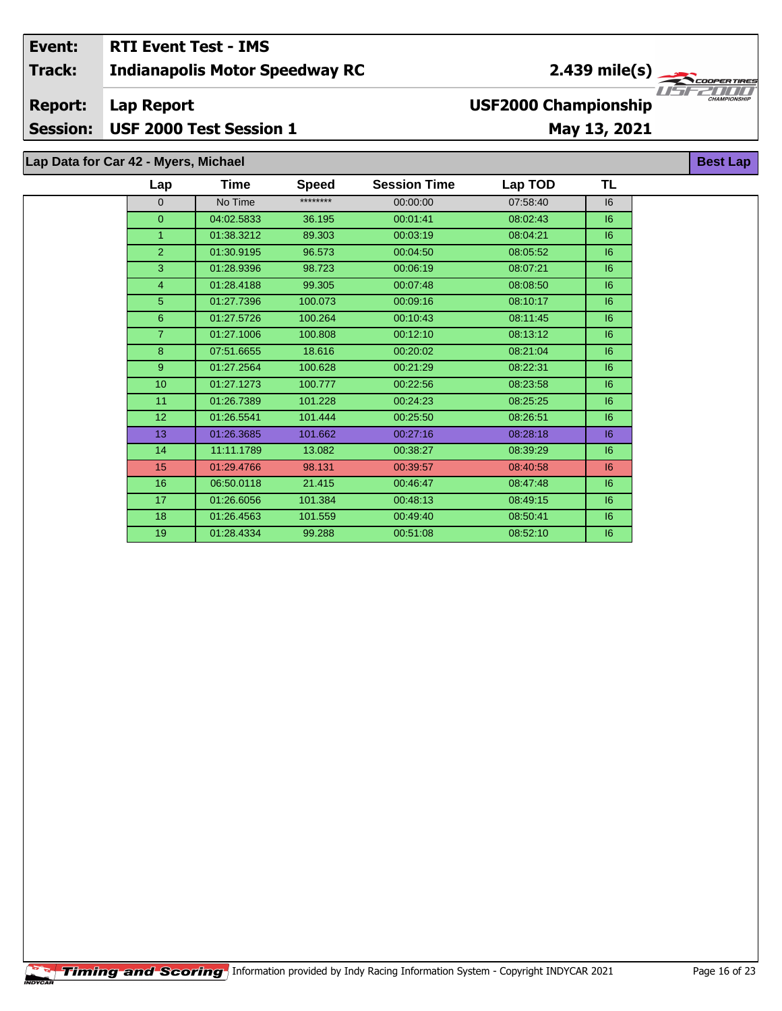## **Indianapolis Motor Speedway RC Lap Report May 13, 2021 Event: RTI Event Test - IMS Track: Report: Session: USF 2000 Test Session 1 USF2000 Championship** 2.439 mile(s)

# **Lap Data for Car 42 - Myers, Michael**

| Lap             | Time       | <b>Speed</b> | <b>Session Time</b> | Lap TOD  | TL |  |
|-----------------|------------|--------------|---------------------|----------|----|--|
| $\mathbf{0}$    | No Time    | ********     | 00:00:00            | 07:58:40 | 6  |  |
| $\mathbf{0}$    | 04:02.5833 | 36.195       | 00:01:41            | 08:02:43 | 6  |  |
| 1               | 01:38.3212 | 89.303       | 00:03:19            | 08:04:21 | 6  |  |
| $\overline{2}$  | 01:30.9195 | 96.573       | 00:04:50            | 08:05:52 | 6  |  |
| 3               | 01:28.9396 | 98.723       | 00:06:19            | 08:07:21 | 6  |  |
| $\overline{4}$  | 01:28.4188 | 99.305       | 00:07:48            | 08:08:50 | 6  |  |
| 5               | 01:27.7396 | 100.073      | 00:09:16            | 08:10:17 | 6  |  |
| 6               | 01:27.5726 | 100.264      | 00:10:43            | 08:11:45 | 6  |  |
| $\overline{7}$  | 01:27.1006 | 100.808      | 00:12:10            | 08:13:12 | 6  |  |
| 8               | 07:51.6655 | 18.616       | 00:20:02            | 08:21:04 | 6  |  |
| 9               | 01:27.2564 | 100.628      | 00:21:29            | 08:22:31 | 16 |  |
| 10              | 01:27.1273 | 100.777      | 00:22:56            | 08:23:58 | 6  |  |
| 11              | 01:26.7389 | 101.228      | 00:24:23            | 08:25:25 | 16 |  |
| 12 <sub>2</sub> | 01:26.5541 | 101.444      | 00:25:50            | 08:26:51 | 6  |  |
| 13              | 01:26.3685 | 101.662      | 00:27:16            | 08:28:18 | 6  |  |
| 14              | 11:11.1789 | 13.082       | 00:38:27            | 08:39:29 | 6  |  |
| 15              | 01:29.4766 | 98.131       | 00:39:57            | 08:40:58 | 6  |  |
| 16              | 06:50.0118 | 21.415       | 00:46:47            | 08:47:48 | 6  |  |
| 17              | 01:26.6056 | 101.384      | 00:48:13            | 08:49:15 | 6  |  |
| 18              | 01:26.4563 | 101.559      | 00:49:40            | 08:50:41 | 6  |  |
| 19              | 01:28.4334 | 99.288       | 00:51:08            | 08:52:10 | 16 |  |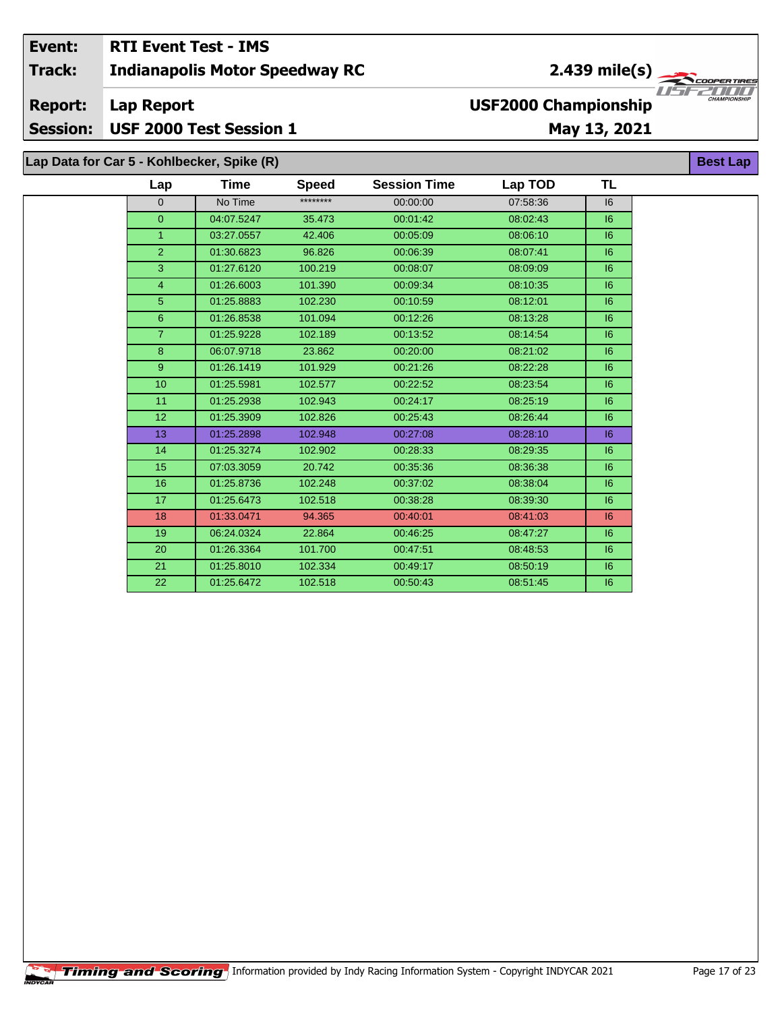#### Event: **RTI Event Test - IMS**  $2.439$  mile(s) **Indianapolis Motor Speedway RC Track: Report: Lap Report USF2000 Championship** USF 2000 Test Session 1 **Session:** May 13, 2021

# Lap Data for Car 5 - Kohlbecker, Spike (R)

| Lap             | Time       | <b>Speed</b> | <b>Session Time</b> | Lap TOD  | <b>TL</b> |
|-----------------|------------|--------------|---------------------|----------|-----------|
| $\Omega$        | No Time    | ********     | 00:00:00            | 07:58:36 | 16        |
| $\overline{0}$  | 04:07.5247 | 35.473       | 00:01:42            | 08:02:43 | 6         |
| 1               | 03:27.0557 | 42.406       | 00:05:09            | 08:06:10 | 6         |
| $\overline{2}$  | 01:30.6823 | 96.826       | 00:06:39            | 08:07:41 | 6         |
| $\overline{3}$  | 01:27.6120 | 100.219      | 00:08:07            | 08:09:09 | 6         |
| $\overline{4}$  | 01:26.6003 | 101.390      | 00:09:34            | 08:10:35 | 6         |
| 5 <sup>5</sup>  | 01:25.8883 | 102.230      | 00:10:59            | 08:12:01 | 6         |
| 6               | 01:26.8538 | 101.094      | 00:12:26            | 08:13:28 | 6         |
| $\overline{7}$  | 01:25.9228 | 102.189      | 00:13:52            | 08:14:54 | 6         |
| 8               | 06:07.9718 | 23.862       | 00:20:00            | 08:21:02 | 16        |
| 9               | 01:26.1419 | 101.929      | 00:21:26            | 08:22:28 | 6         |
| 10              | 01:25.5981 | 102.577      | 00:22:52            | 08:23:54 | 6         |
| 11              | 01:25.2938 | 102.943      | 00:24:17            | 08:25:19 | 16        |
| 12 <sub>2</sub> | 01:25.3909 | 102.826      | 00:25:43            | 08:26:44 | 6         |
| 13              | 01:25.2898 | 102.948      | 00:27:08            | 08:28:10 | 6         |
| 14              | 01:25.3274 | 102.902      | 00:28:33            | 08:29:35 | 6         |
| 15              | 07:03.3059 | 20.742       | 00:35:36            | 08:36:38 | 6         |
| 16              | 01:25.8736 | 102.248      | 00:37:02            | 08:38:04 | 16        |
| 17              | 01:25.6473 | 102.518      | 00:38:28            | 08:39:30 | 6         |
| 18              | 01:33.0471 | 94.365       | 00:40:01            | 08:41:03 | 6         |
| 19              | 06:24.0324 | 22.864       | 00:46:25            | 08:47:27 | 6         |
| 20              | 01:26.3364 | 101.700      | 00:47:51            | 08:48:53 | 6         |
| 21              | 01:25.8010 | 102.334      | 00:49:17            | 08:50:19 | 16        |
| 22              | 01:25.6472 | 102.518      | 00:50:43            | 08:51:45 | 6         |

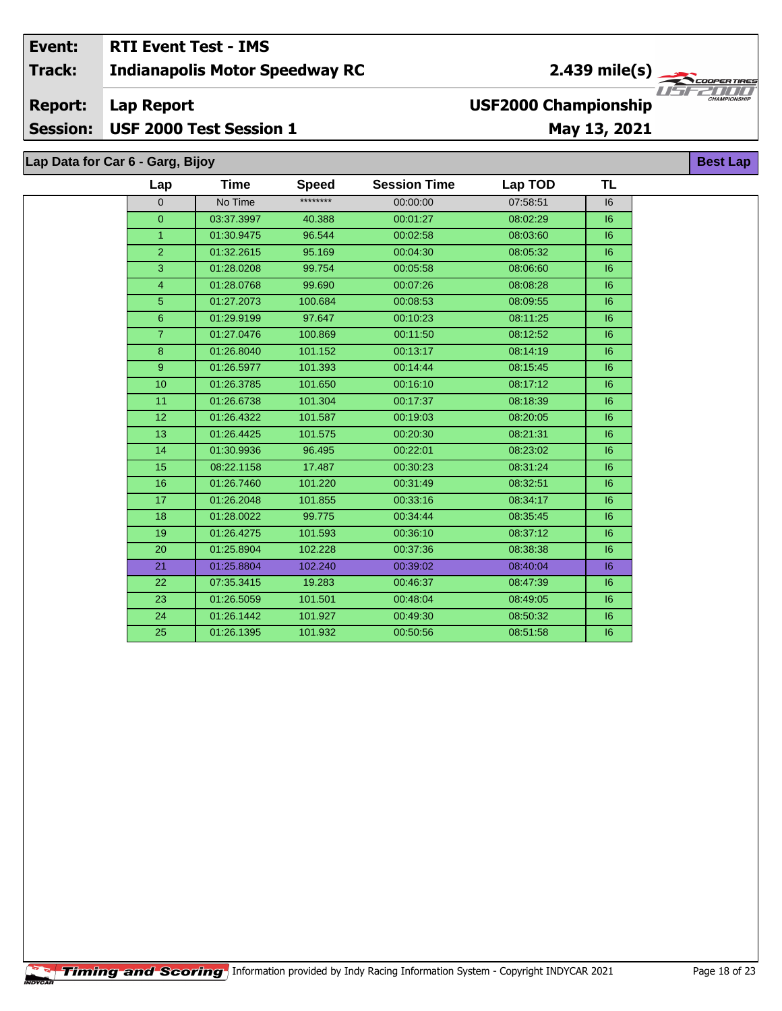## Event: **RTI Event Test - IMS Indianapolis Motor Speedway RC**

#### **Report: Lap Report**

**Session:** USF 2000 Test Session 1

# May 13, 2021

**USF2000 Championship** 

Lap Data for Car 6 - Garg, Bijoy

| Lap            | Time       | <b>Speed</b> | <b>Session Time</b> | Lap TOD  | <b>TL</b> |  |
|----------------|------------|--------------|---------------------|----------|-----------|--|
| $\overline{0}$ | No Time    | ********     | 00:00:00            | 07:58:51 | 6         |  |
| $\overline{0}$ | 03:37.3997 | 40.388       | 00:01:27            | 08:02:29 | 6         |  |
| $\mathbf{1}$   | 01:30.9475 | 96.544       | 00:02:58            | 08:03:60 | 16        |  |
| $\overline{2}$ | 01:32.2615 | 95.169       | 00:04:30            | 08:05:32 | 6         |  |
| $\overline{3}$ | 01:28.0208 | 99.754       | 00:05:58            | 08:06:60 | 6         |  |
| $\overline{4}$ | 01:28.0768 | 99.690       | 00:07:26            | 08:08:28 | 6         |  |
| $\overline{5}$ | 01:27.2073 | 100.684      | 00:08:53            | 08:09:55 | 6         |  |
| 6 <sup>°</sup> | 01:29.9199 | 97.647       | 00:10:23            | 08:11:25 | 16        |  |
| $\mathbf{7}$   | 01:27.0476 | 100.869      | 00:11:50            | 08:12:52 | 6         |  |
| 8              | 01:26.8040 | 101.152      | 00:13:17            | 08:14:19 | 6         |  |
| 9              | 01:26.5977 | 101.393      | 00:14:44            | 08:15:45 | 16        |  |
| 10             | 01:26.3785 | 101.650      | 00:16:10            | 08:17:12 | 6         |  |
| 11             | 01:26.6738 | 101.304      | 00:17:37            | 08:18:39 | 6         |  |
| 12             | 01:26.4322 | 101.587      | 00:19:03            | 08:20:05 | 6         |  |
| 13             | 01:26.4425 | 101.575      | 00:20:30            | 08:21:31 | 6         |  |
| 14             | 01:30.9936 | 96.495       | 00:22:01            | 08:23:02 | 16        |  |
| 15             | 08:22.1158 | 17.487       | 00:30:23            | 08:31:24 | 6         |  |
| 16             | 01:26.7460 | 101.220      | 00:31:49            | 08:32:51 | 6         |  |
| 17             | 01:26.2048 | 101.855      | 00:33:16            | 08:34:17 | 16        |  |
| 18             | 01:28.0022 | 99.775       | 00:34:44            | 08:35:45 | 16        |  |
| 19             | 01:26.4275 | 101.593      | 00:36:10            | 08:37:12 | 16        |  |
| 20             | 01:25.8904 | 102.228      | 00:37:36            | 08:38:38 | 6         |  |
| 21             | 01:25.8804 | 102.240      | 00:39:02            | 08:40:04 | 6         |  |
| 22             | 07:35.3415 | 19.283       | 00:46:37            | 08:47:39 | 6         |  |
| 23             | 01:26.5059 | 101.501      | 00:48:04            | 08:49:05 | 16        |  |
| 24             | 01:26.1442 | 101.927      | 00:49:30            | 08:50:32 | 6         |  |
| 25             | 01:26.1395 | 101.932      | 00:50:56            | 08:51:58 | 16        |  |
|                |            |              |                     |          |           |  |



**Best Lap** 

**Track:**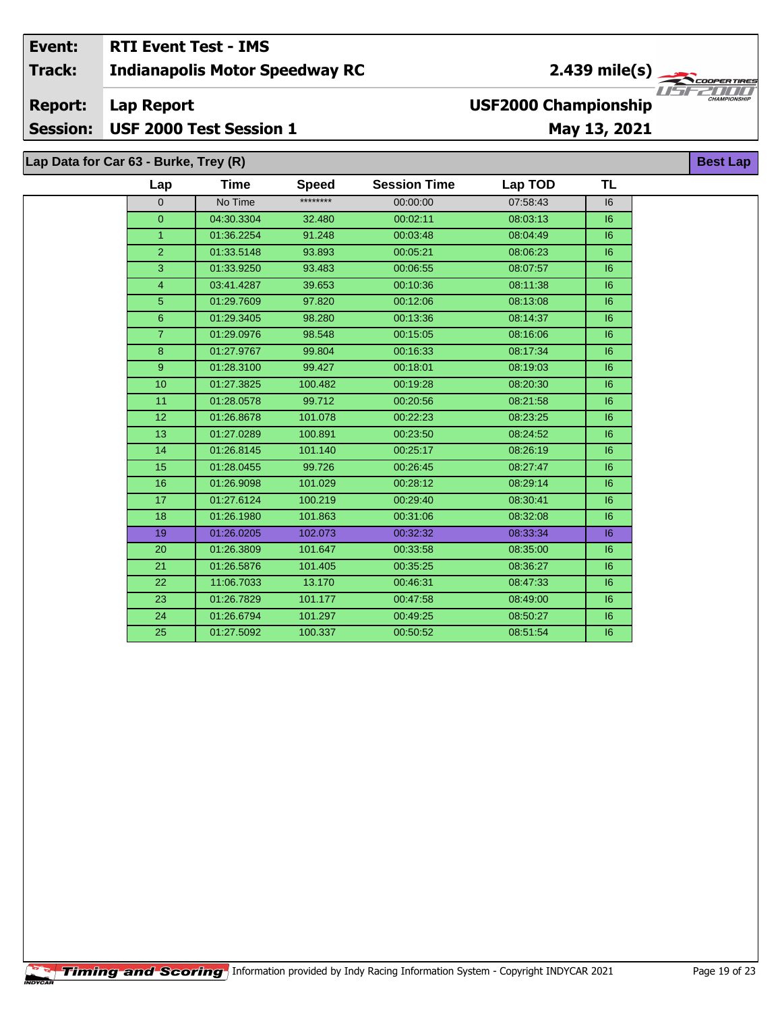### Event: **RTI Event Test - IMS**  $\frac{2.439 \text{ mile(s)}}{\sqrt{1.57225 \text{ cm/s}}$ **Track: Indianapolis Motor Speedway RC Report: Lap Report USF2000 Championship Session:** USF 2000 Test Session 1 May 13, 2021

**TL Time Session Time Lap TOD** Lap **Speed** \*\*\*\*\*\*\*\*  $\overline{0}$ No Time 00:00:00 07:58:43  $\overline{0}$ 04:30.3304 32.480 00:02:11 08:03:13 01:36.2254 08:04:49  $\mathbf{1}$ 91.248 00:03:48 01:33.5148 93.893 08:06:23  $\overline{2}$ 00:05:21 08:07:57 3 01:33.9250 93.483 00:06:55 03:41.4287  $\overline{4}$ 39.653 08:11:38 00:10:36  $\overline{5}$ 97.820 08:13:08 01:29.7609 00:12:06  $\overline{6}$ 01:29.3405 98.280 00:13:36 08:14:37  $\overline{7}$ 01:29.0976 98.548 00:15:05 08:16:06 99.804  $\overline{8}$ 01:27.9767 00:16:33 08:17:34  $\overline{9}$ 01:28.3100 99.427 00:18:01 08:19:03  $10$ 01:27.3825 100.482 00:19:28 08:20:30 99.712  $11$ 01:28.0578 00:20:56 08:21:58 08:23:25  $\overline{12}$ 01:26.8678 101.078 00:22:23 08:24:52 13 01:27.0289 100.891 00:23:50

101.140

99.726

101.029

100.219

101.863

102.073

101.647

101.405

13.170

101.177

101.297

100.337

00:25:17

00:26:45

00:28:12

00:29:40

00:31:06

00:32:32

00:33:58

00:35:25

00:46:31

00:47:58

00:49:25

00:50:52

Lap Data for Car 63 - Burke, Trey (R)

 $14$ 

 $15$ 

 $16$ 

 $\overline{17}$ 

 $\overline{18}$ 

 $\overline{19}$ 

20

21

 $\overline{22}$ 

23

24

25

01:26.8145

01:28.0455

01:26.9098

01:27.6124

01:26.1980

01:26.0205

01:26.3809

01:26.5876

11:06.7033

01:26.7829

01:26.6794

01:27.5092



**Best Lap** 

 $\overline{16}$ 

 $16$ 

 $16$ 

 $16$ 

 $16$ 

 $\overline{16}$ 

 $\overline{16}$ 

 $\overline{16}$ 

 $16$ 

 $\overline{16}$ 

 $\overline{16}$ 

 $16$ 

 $16$ 

 $|6$ 

 $16$ 

 $16$ 

 $|6$ 

 $\overline{16}$ 

 $\overline{16}$ 

 $\overline{16}$ 

 $\overline{16}$ 

 $|6$ 

 $|6$ 

 $16$ 

 $16$ 

 $16$ 

 $16$ 

08:26:19

08:27:47

08:29:14

08:30:41

08:32:08

08:33:34

08:35:00

08:36:27

08:47:33

08:49:00

08:50:27

08:51:54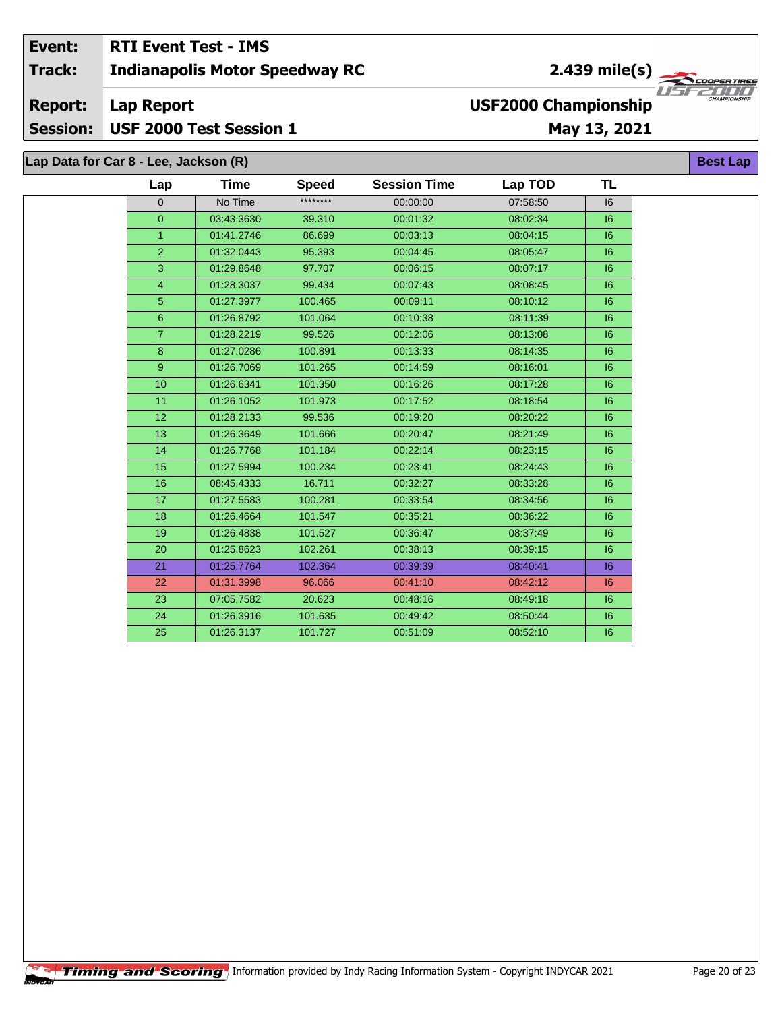#### **RTI Event Test - IMS** Event: 2.439 mile(s) Track: **Indianapolis Motor Speedway RC** ER TIR U S F 7000 **USF2000 Championship Report: Lap Report** USF 2000 Test Session 1 **Session:** May 13, 2021 Lap Data for Car 8 - Lee, Jackson (R) **Best Lap**

| Lap            | <b>Time</b> | <b>Speed</b> | <b>Session Time</b> | Lap TOD  | <b>TL</b> |
|----------------|-------------|--------------|---------------------|----------|-----------|
| $\Omega$       | No Time     | ********     | 00:00:00            | 07:58:50 | 16        |
| $\overline{0}$ | 03:43.3630  | 39.310       | 00:01:32            | 08:02:34 | 6         |
| $\mathbf{1}$   | 01:41.2746  | 86.699       | 00:03:13            | 08:04:15 | 6         |
| $\overline{2}$ | 01:32.0443  | 95.393       | 00:04:45            | 08:05:47 | 16        |
| 3              | 01:29.8648  | 97.707       | 00:06:15            | 08:07:17 | 6         |
| $\overline{4}$ | 01:28.3037  | 99.434       | 00:07:43            | 08:08:45 | 6         |
| 5 <sup>5</sup> | 01:27.3977  | 100.465      | 00:09:11            | 08:10:12 | 6         |
| 6              | 01:26.8792  | 101.064      | 00:10:38            | 08:11:39 | 6         |
| $\overline{7}$ | 01:28.2219  | 99.526       | 00:12:06            | 08:13:08 | 6         |
| 8              | 01:27.0286  | 100.891      | 00:13:33            | 08:14:35 | 6         |
| 9 <sup>°</sup> | 01:26.7069  | 101.265      | 00:14:59            | 08:16:01 | 6         |
| 10             | 01:26.6341  | 101.350      | 00:16:26            | 08:17:28 | 6         |
| 11             | 01:26.1052  | 101.973      | 00:17:52            | 08:18:54 | 16        |
| 12             | 01:28.2133  | 99.536       | 00:19:20            | 08:20:22 | 16        |
| 13             | 01:26.3649  | 101.666      | 00:20:47            | 08:21:49 | 6         |
| 14             | 01:26.7768  | 101.184      | 00:22:14            | 08:23:15 | 6         |
| 15             | 01:27.5994  | 100.234      | 00:23:41            | 08:24:43 | 6         |
| 16             | 08:45.4333  | 16.711       | 00:32:27            | 08:33:28 | 6         |
| 17             | 01:27.5583  | 100.281      | 00:33:54            | 08:34:56 | 6         |
| 18             | 01:26.4664  | 101.547      | 00:35:21            | 08:36:22 | 6         |
| 19             | 01:26.4838  | 101.527      | 00:36:47            | 08:37:49 | 6         |
| 20             | 01:25.8623  | 102.261      | 00:38:13            | 08:39:15 | 16        |
| 21             | 01:25.7764  | 102.364      | 00:39:39            | 08:40:41 | 6         |
| 22             | 01:31.3998  | 96.066       | 00:41:10            | 08:42:12 | 6         |
| 23             | 07:05.7582  | 20.623       | 00:48:16            | 08:49:18 | 6         |
| 24             | 01:26.3916  | 101.635      | 00:49:42            | 08:50:44 | 16        |
| 25             | 01:26.3137  | 101.727      | 00:51:09            | 08:52:10 | 6         |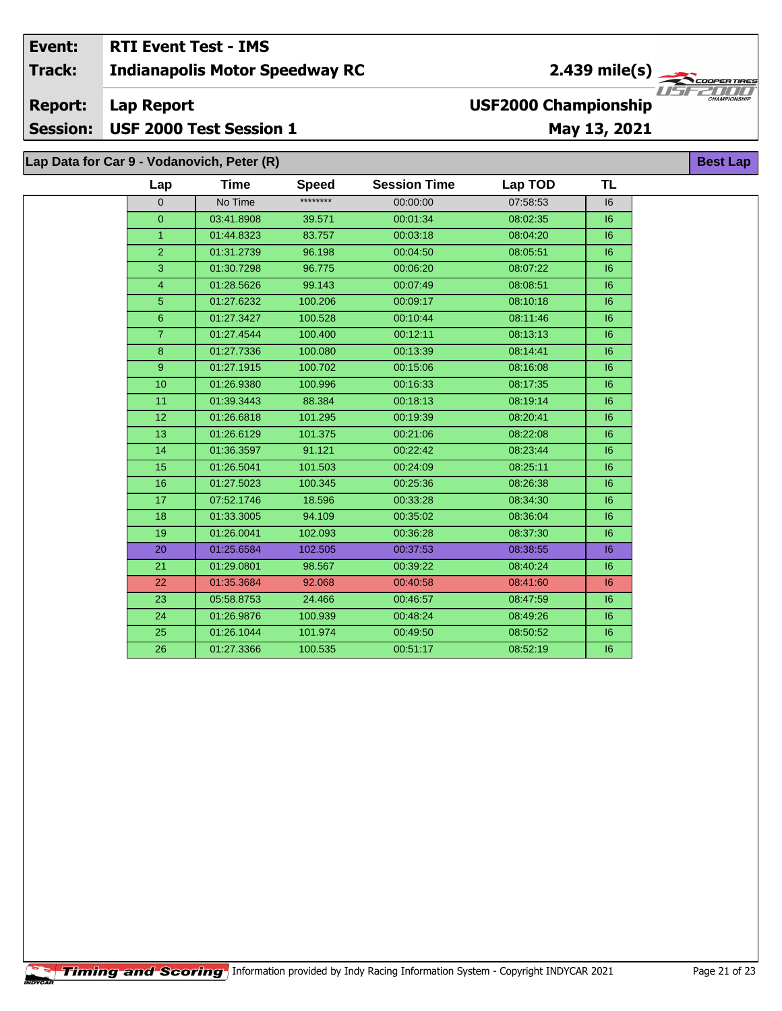#### **RTI Event Test - IMS** Event: 2.439 mile(s) Track: **Indianapolis Motor Speedway RC** ER TIR USF. 7000 **Report: Lap Report USF2000 Championship** Session: USF 2000 Test Session 1 May 13, 2021 Lap Data for Car 9 - Vodanovich, Peter (R) **Best Lap**

| Lap             | Time       | <b>Speed</b> | <b>Session Time</b> | Lap TOD  | TL |
|-----------------|------------|--------------|---------------------|----------|----|
| $\overline{0}$  | No Time    | ********     | 00:00:00            | 07:58:53 | 16 |
| $\overline{0}$  | 03:41.8908 | 39.571       | 00:01:34            | 08:02:35 | 16 |
| $\mathbf{1}$    | 01:44.8323 | 83.757       | 00:03:18            | 08:04:20 | 16 |
| $\overline{2}$  | 01:31.2739 | 96.198       | 00:04:50            | 08:05:51 | 16 |
| 3               | 01:30.7298 | 96.775       | 00:06:20            | 08:07:22 | 6  |
| $\overline{4}$  | 01:28.5626 | 99.143       | 00:07:49            | 08:08:51 | 16 |
| 5               | 01:27.6232 | 100.206      | 00:09:17            | 08:10:18 | 16 |
| $6\phantom{1}$  | 01:27.3427 | 100.528      | 00:10:44            | 08:11:46 | 16 |
| $\overline{7}$  | 01:27.4544 | 100.400      | 00:12:11            | 08:13:13 | 6  |
| 8               | 01:27.7336 | 100.080      | 00:13:39            | 08:14:41 | 16 |
| 9               | 01:27.1915 | 100.702      | 00:15:06            | 08:16:08 | 6  |
| 10 <sup>1</sup> | 01:26.9380 | 100.996      | 00:16:33            | 08:17:35 | 16 |
| 11              | 01:39.3443 | 88.384       | 00:18:13            | 08:19:14 | 6  |
| 12              | 01:26.6818 | 101.295      | 00:19:39            | 08:20:41 | 16 |
| 13              | 01:26.6129 | 101.375      | 00:21:06            | 08:22:08 | 6  |
| 14              | 01:36.3597 | 91.121       | 00:22:42            | 08:23:44 | 16 |
| 15              | 01:26.5041 | 101.503      | 00:24:09            | 08:25:11 | 6  |
| 16              | 01:27.5023 | 100.345      | 00:25:36            | 08:26:38 | 6  |
| 17              | 07:52.1746 | 18.596       | 00:33:28            | 08:34:30 | 6  |
| 18              | 01:33.3005 | 94.109       | 00:35:02            | 08:36:04 | 6  |
| 19              | 01:26.0041 | 102.093      | 00:36:28            | 08:37:30 | 6  |
| 20              | 01:25.6584 | 102.505      | 00:37:53            | 08:38:55 | 6  |
| 21              | 01:29.0801 | 98.567       | 00:39:22            | 08:40:24 | 6  |
| 22              | 01:35.3684 | 92.068       | 00:40:58            | 08:41:60 | 6  |
| 23              | 05:58.8753 | 24.466       | 00:46:57            | 08:47:59 | 16 |
| 24              | 01:26.9876 | 100.939      | 00:48:24            | 08:49:26 | 6  |
| 25              | 01:26.1044 | 101.974      | 00:49:50            | 08:50:52 | 16 |
| 26              | 01:27.3366 | 100.535      | 00:51:17            | 08:52:19 | 6  |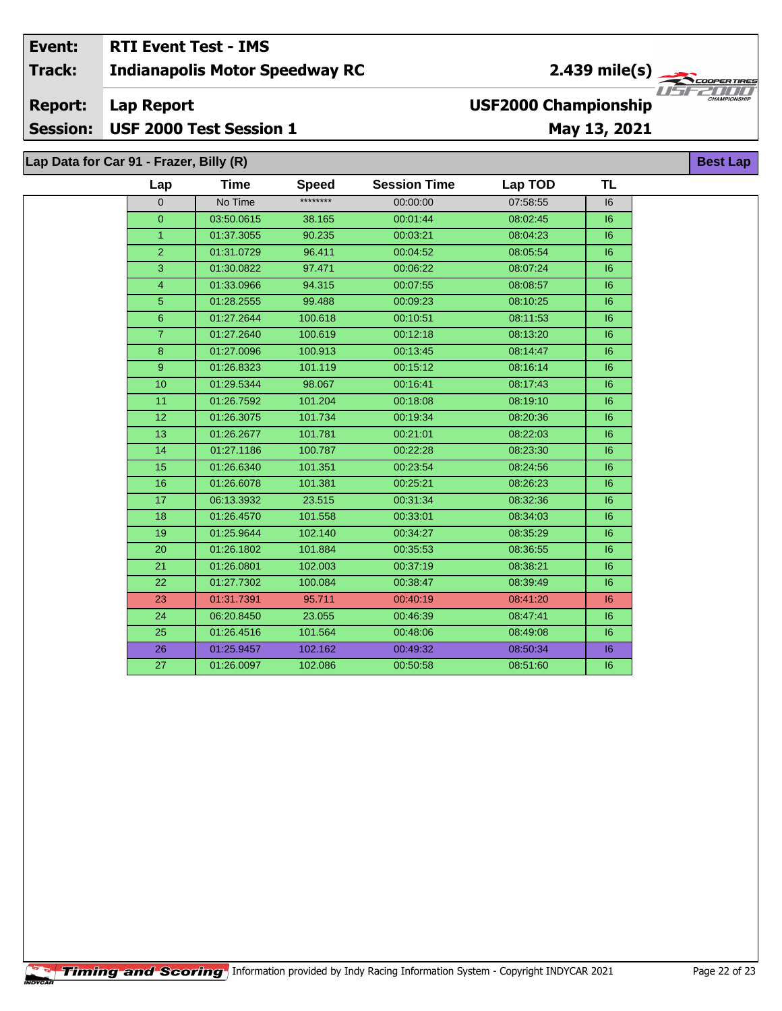### Event: **RTI Event Test - IMS** 2.439 mile(s)  $\frac{1}{\sqrt{2\pi}}$ Track: **Indianapolis Motor Speedway RC** USF. **USF2000 Championship Report: Lap Report** USF 2000 Test Session 1 **Session:** May 13, 2021 Lap Data for Car 91 - Frazer, Billy (R)

| Data for Car 91 - Frazer, Billy (R) |                |             |              |                     |          |           | <b>Best Lap</b> |
|-------------------------------------|----------------|-------------|--------------|---------------------|----------|-----------|-----------------|
|                                     | Lap            | <b>Time</b> | <b>Speed</b> | <b>Session Time</b> | Lap TOD  | <b>TL</b> |                 |
|                                     | $\mathbf 0$    | No Time     | ********     | 00:00:00            | 07:58:55 | 16        |                 |
|                                     | $\mathbf{0}$   | 03:50.0615  | 38.165       | 00:01:44            | 08:02:45 | 16        |                 |
|                                     | $\mathbf{1}$   | 01:37.3055  | 90.235       | 00:03:21            | 08:04:23 | 6         |                 |
|                                     | $\overline{2}$ | 01:31.0729  | 96.411       | 00:04:52            | 08:05:54 | 6         |                 |
|                                     | 3              | 01:30.0822  | 97.471       | 00:06:22            | 08:07:24 | 6         |                 |
|                                     | $\overline{4}$ | 01:33.0966  | 94.315       | 00:07:55            | 08:08:57 | 6         |                 |
|                                     | $\overline{5}$ | 01:28.2555  | 99.488       | 00:09:23            | 08:10:25 | 6         |                 |
|                                     | 6 <sup>°</sup> | 01:27.2644  | 100.618      | 00:10:51            | 08:11:53 | 6         |                 |
|                                     | $\overline{7}$ | 01:27.2640  | 100.619      | 00:12:18            | 08:13:20 | 6         |                 |
|                                     | 8              | 01:27.0096  | 100.913      | 00:13:45            | 08:14:47 | 6         |                 |
|                                     | 9 <sup>°</sup> | 01:26.8323  | 101.119      | 00:15:12            | 08:16:14 | 6         |                 |
|                                     | 10             | 01:29.5344  | 98.067       | 00:16:41            | 08:17:43 | 6         |                 |
|                                     | 11             | 01:26.7592  | 101.204      | 00:18:08            | 08:19:10 | 6         |                 |
|                                     | 12             | 01:26.3075  | 101.734      | 00:19:34            | 08:20:36 | 6         |                 |
|                                     | 13             | 01:26.2677  | 101.781      | 00:21:01            | 08:22:03 | 6         |                 |
|                                     | 14             | 01:27.1186  | 100.787      | 00:22:28            | 08:23:30 | 6         |                 |
|                                     | 15             | 01:26.6340  | 101.351      | 00:23:54            | 08:24:56 | 6         |                 |
|                                     | 16             | 01:26.6078  | 101.381      | 00:25:21            | 08:26:23 | 6         |                 |
|                                     | 17             | 06:13.3932  | 23.515       | 00:31:34            | 08:32:36 | 6         |                 |
|                                     | 18             | 01:26.4570  | 101.558      | 00:33:01            | 08:34:03 | 6         |                 |
|                                     | 19             | 01:25.9644  | 102.140      | 00:34:27            | 08:35:29 | 6         |                 |
|                                     | 20             | 01:26.1802  | 101.884      | 00:35:53            | 08:36:55 | 6         |                 |
|                                     | 21             | 01:26.0801  | 102.003      | 00:37:19            | 08:38:21 | 6         |                 |
|                                     | 22             | 01:27.7302  | 100.084      | 00:38:47            | 08:39:49 | 6         |                 |
|                                     | 23             | 01:31.7391  | 95.711       | 00:40:19            | 08:41:20 | 6         |                 |
|                                     | 24             | 06:20.8450  | 23.055       | 00:46:39            | 08:47:41 | 16        |                 |
|                                     | 25             | 01:26.4516  | 101.564      | 00:48:06            | 08:49:08 | 6         |                 |
|                                     | 26             | 01:25.9457  | 102.162      | 00:49:32            | 08:50:34 | 6         |                 |
|                                     | 27             | 01:26.0097  | 102.086      | 00:50:58            | 08:51:60 | 6         |                 |
|                                     |                |             |              |                     |          |           |                 |

ER TIR

 $\sqrt{I/I/L}$